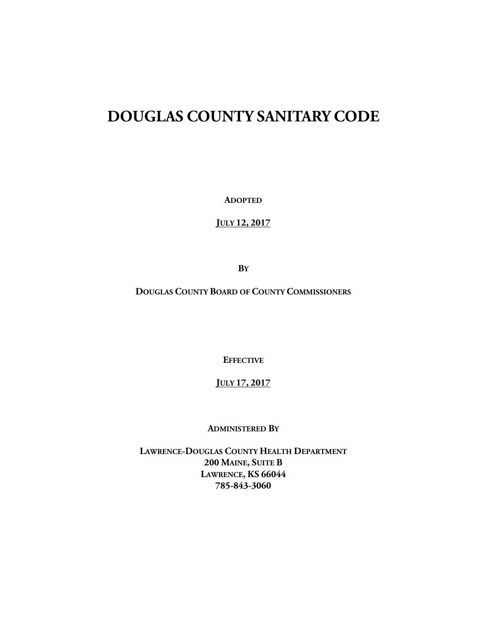# **DOUGLAS COUNTY SANITARY CODE**

**ADOPTED**

**JULY 12, 2017**

**BY**

**DOUGLAS COUNTY BOARD OF COUNTY COMMISSIONERS**

**EFFECTIVE**

## **JULY 17, 2017**

#### **ADMINISTERED BY**

**LAWRENCE-DOUGLAS COUNTY HEALTH DEPARTMENT 200 MAINE, SUITE B LAWRENCE, KS 66044 785-843-3060**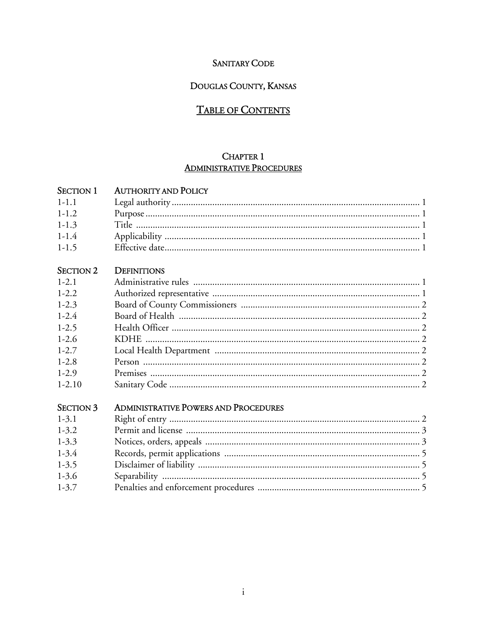# **SANITARY CODE**

## DOUGLAS COUNTY, KANSAS

# **TABLE OF CONTENTS**

## **CHAPTER 1 ADMINISTRATIVE PROCEDURES**

### SECTION 1 AUTHORITY AND POLICY

| $1-1.1$   |  |
|-----------|--|
| $1 - 1$ 2 |  |
| $1 - 1.3$ |  |
| $1 - 1.4$ |  |
| $1 - 1.5$ |  |

#### SECTION 2 DEFINITIONS

| $1-2.1$    |  |
|------------|--|
| $1 - 2.2$  |  |
| $1 - 2.3$  |  |
| $1 - 2.4$  |  |
| $1-2.5$    |  |
| $1-2.6$    |  |
| $1 - 2.7$  |  |
| $1-2.8$    |  |
| $1-2.9$    |  |
| $1 - 2.10$ |  |

## SECTION 3 ADMINISTRATIVE POWERS AND PROCEDURES

| $1 - 3.1$ |  |
|-----------|--|
| $1 - 3.2$ |  |
| $1 - 3.3$ |  |
| $1 - 3.4$ |  |
| $1 - 3.5$ |  |
| $1 - 3.6$ |  |
| $1 - 3.7$ |  |
|           |  |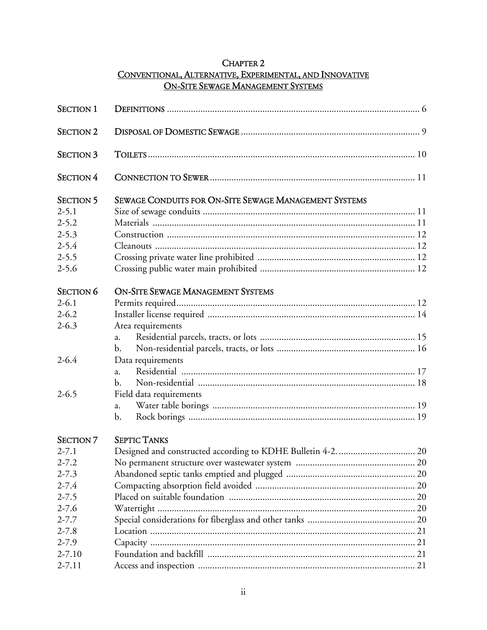# **CHAPTER 2** CONVENTIONAL, ALTERNATIVE, EXPERIMENTAL, AND INNOVATIVE **ON-SITE SEWAGE MANAGEMENT SYSTEMS**

| <b>SECTION 1</b> |                                                       |  |
|------------------|-------------------------------------------------------|--|
| <b>SECTION 2</b> |                                                       |  |
| <b>SECTION 3</b> |                                                       |  |
| <b>SECTION 4</b> |                                                       |  |
| <b>SECTION 5</b> | SEWAGE CONDUITS FOR ON-SITE SEWAGE MANAGEMENT SYSTEMS |  |
| $2 - 5.1$        |                                                       |  |
| $2 - 5.2$        |                                                       |  |
| $2 - 5.3$        |                                                       |  |
| $2 - 5.4$        |                                                       |  |
| $2 - 5.5$        |                                                       |  |
| $2 - 5.6$        |                                                       |  |
| <b>SECTION 6</b> | <b>ON-SITE SEWAGE MANAGEMENT SYSTEMS</b>              |  |
| $2 - 6.1$        |                                                       |  |
| $2 - 6.2$        |                                                       |  |
| $2 - 6.3$        | Area requirements                                     |  |
|                  | a.                                                    |  |
|                  | b.                                                    |  |
| $2 - 6.4$        | Data requirements                                     |  |
|                  | a.                                                    |  |
|                  | b.                                                    |  |
| $2 - 6.5$        | Field data requirements                               |  |
|                  | a.                                                    |  |
|                  | b.                                                    |  |
| <b>SECTION 7</b> | <b>SEPTIC TANKS</b>                                   |  |
| $2 - 7.1$        |                                                       |  |
| $2 - 7.2$        |                                                       |  |
| $2 - 7.3$        |                                                       |  |
| $2 - 7.4$        |                                                       |  |
| $2 - 7.5$        |                                                       |  |
| $2 - 7.6$        |                                                       |  |
| $2 - 7.7$        |                                                       |  |
| $2 - 7.8$        |                                                       |  |
| $2 - 7.9$        |                                                       |  |
| $2 - 7.10$       |                                                       |  |
| $2 - 7.11$       |                                                       |  |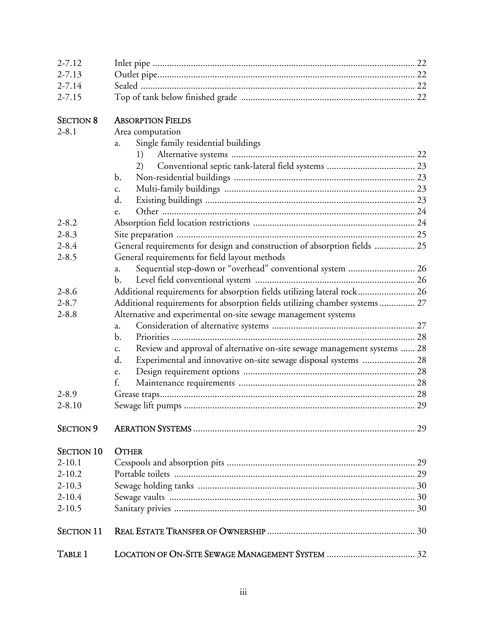| $2 - 7.12$        |                                                                                |  |
|-------------------|--------------------------------------------------------------------------------|--|
| $2 - 7.13$        |                                                                                |  |
| $2 - 7.14$        |                                                                                |  |
| $2 - 7.15$        |                                                                                |  |
|                   |                                                                                |  |
| <b>SECTION 8</b>  | <b>ABSORPTION FIELDS</b>                                                       |  |
| $2 - 8.1$         | Area computation                                                               |  |
|                   | Single family residential buildings<br>a.                                      |  |
|                   | 1)                                                                             |  |
|                   | 2)                                                                             |  |
|                   | $\mathbf{b}$ .                                                                 |  |
|                   | c.                                                                             |  |
|                   | d.                                                                             |  |
|                   | e.                                                                             |  |
| $2 - 8.2$         |                                                                                |  |
| $2 - 8.3$         |                                                                                |  |
| $2 - 8.4$         | General requirements for design and construction of absorption fields  25      |  |
| $2 - 8.5$         | General requirements for field layout methods                                  |  |
|                   | Sequential step-down or "overhead" conventional system  26<br>a.               |  |
|                   | b.                                                                             |  |
| $2 - 8.6$         | Additional requirements for absorption fields utilizing lateral rock 26        |  |
| $2 - 8.7$         | Additional requirements for absorption fields utilizing chamber systems 27     |  |
| $2 - 8.8$         | Alternative and experimental on-site sewage management systems                 |  |
|                   | a.                                                                             |  |
|                   | b.                                                                             |  |
|                   | Review and approval of alternative on-site sewage management systems  28<br>c. |  |
|                   | Experimental and innovative on-site sewage disposal systems  28<br>d.          |  |
|                   | e.                                                                             |  |
|                   | f.                                                                             |  |
| $2 - 8.9$         |                                                                                |  |
| $2 - 8.10$        |                                                                                |  |
|                   |                                                                                |  |
| <b>SECTION 9</b>  |                                                                                |  |
| <b>SECTION 10</b> | <b>OTHER</b>                                                                   |  |
| $2 - 10.1$        |                                                                                |  |
| $2 - 10.2$        |                                                                                |  |
| $2 - 10.3$        |                                                                                |  |
| $2 - 10.4$        |                                                                                |  |
| $2 - 10.5$        |                                                                                |  |
|                   |                                                                                |  |
| <b>SECTION 11</b> |                                                                                |  |
| TABLE 1           |                                                                                |  |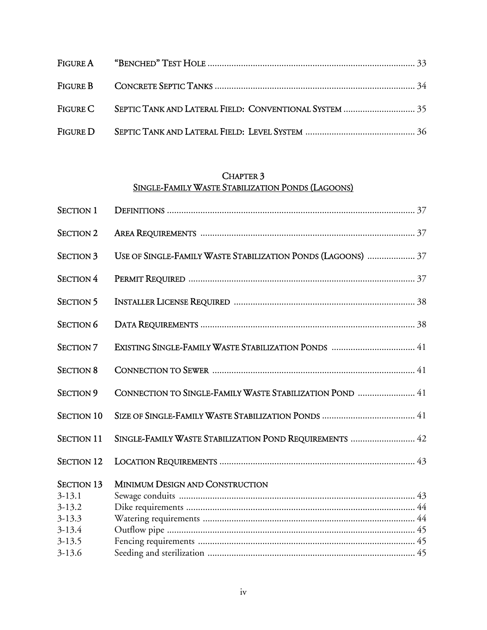# CHAPTER 3 SINGLE-FAMILY WASTE STABILIZATION PONDS (LAGOONS)

| <b>SECTION 1</b>  |                                                              |
|-------------------|--------------------------------------------------------------|
| <b>SECTION 2</b>  |                                                              |
| <b>SECTION 3</b>  | USE OF SINGLE-FAMILY WASTE STABILIZATION PONDS (LAGOONS)  37 |
| <b>SECTION 4</b>  |                                                              |
| <b>SECTION 5</b>  |                                                              |
| <b>SECTION 6</b>  |                                                              |
| <b>SECTION 7</b>  |                                                              |
| <b>SECTION 8</b>  |                                                              |
| <b>SECTION 9</b>  | CONNECTION TO SINGLE-FAMILY WASTE STABILIZATION POND  41     |
| <b>SECTION 10</b> |                                                              |
| <b>SECTION 11</b> | SINGLE-FAMILY WASTE STABILIZATION POND REQUIREMENTS  42      |
| <b>SECTION 12</b> |                                                              |
| <b>SECTION 13</b> | MINIMUM DESIGN AND CONSTRUCTION                              |
| $3 - 13.1$        |                                                              |
| $3 - 13.2$        |                                                              |
| $3 - 13.3$        |                                                              |
| $3-13.4$          |                                                              |
| $3 - 13.5$        |                                                              |
| $3 - 13.6$        |                                                              |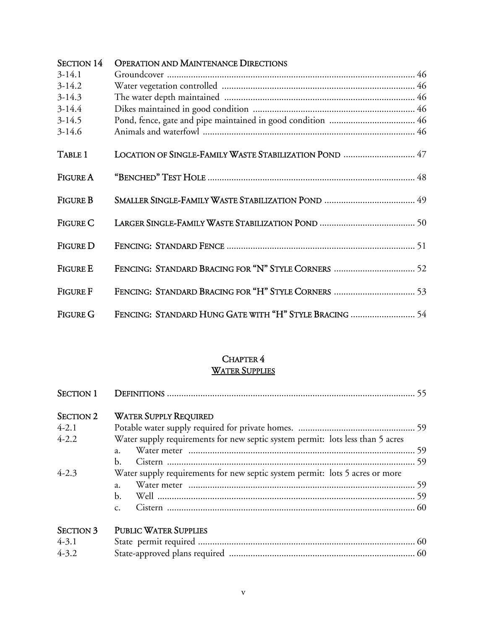| <b>SECTION 14</b> | <b>OPERATION AND MAINTENANCE DIRECTIONS</b>            |  |
|-------------------|--------------------------------------------------------|--|
| $3-14.1$          |                                                        |  |
| $3-14.2$          |                                                        |  |
| $3-14.3$          |                                                        |  |
| $3-14.4$          |                                                        |  |
| $3-14.5$          |                                                        |  |
| $3-14.6$          |                                                        |  |
| TABLE 1           | LOCATION OF SINGLE-FAMILY WASTE STABILIZATION POND  47 |  |
| <b>FIGURE A</b>   |                                                        |  |
|                   |                                                        |  |
| <b>FIGURE B</b>   |                                                        |  |
|                   |                                                        |  |
| <b>FIGURE C</b>   |                                                        |  |
|                   |                                                        |  |
| <b>FIGURE D</b>   |                                                        |  |
| <b>FIGURE E</b>   | FENCING: STANDARD BRACING FOR "N" STYLE CORNERS  52    |  |
| <b>FIGURE F</b>   | FENCING: STANDARD BRACING FOR "H" STYLE CORNERS  53    |  |
| <b>FIGURE G</b>   | FENCING: STANDARD HUNG GATE WITH "H" STYLE BRACING  54 |  |

## CHAPTER 4 WATER SUPPLIES

| <b>SECTION 1</b> |                                                                                |  |
|------------------|--------------------------------------------------------------------------------|--|
| <b>SECTION 2</b> | <b>WATER SUPPLY REQUIRED</b>                                                   |  |
| $4-2.1$          |                                                                                |  |
| $4 - 2.2$        | Water supply requirements for new septic system permit: lots less than 5 acres |  |
|                  | a.                                                                             |  |
|                  | b.                                                                             |  |
| $4 - 2.3$        | Water supply requirements for new septic system permit: lots 5 acres or more   |  |
|                  | a.                                                                             |  |
|                  | b.                                                                             |  |
|                  | $C_{\star}$                                                                    |  |
| <b>SECTION 3</b> | <b>PUBLIC WATER SUPPLIES</b>                                                   |  |
| $4 - 3.1$        |                                                                                |  |
| $4 - 3.2$        |                                                                                |  |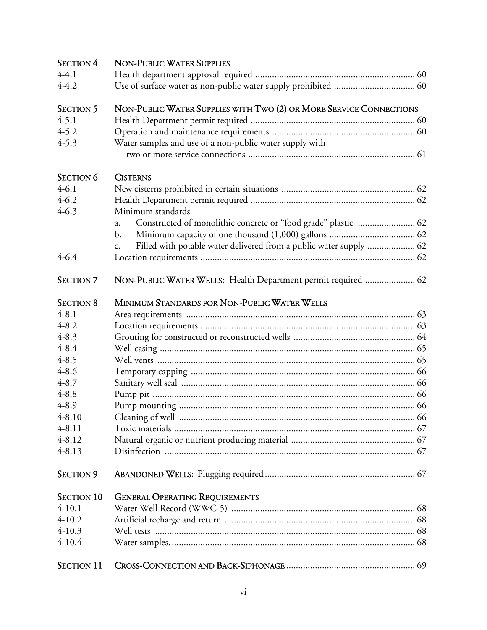| <b>SECTION 4</b>  | <b>NON-PUBLIC WATER SUPPLIES</b>                                         |  |
|-------------------|--------------------------------------------------------------------------|--|
| $4-4.1$           |                                                                          |  |
| $4 - 4.2$         |                                                                          |  |
| <b>SECTION 5</b>  | NON-PUBLIC WATER SUPPLIES WITH TWO (2) OR MORE SERVICE CONNECTIONS       |  |
| $4 - 5.1$         |                                                                          |  |
| $4 - 5.2$         |                                                                          |  |
| $4 - 5.3$         | Water samples and use of a non-public water supply with                  |  |
|                   |                                                                          |  |
| <b>SECTION 6</b>  | <b>CISTERNS</b>                                                          |  |
| $4 - 6.1$         |                                                                          |  |
| $4 - 6.2$         |                                                                          |  |
| $4 - 6.3$         | Minimum standards                                                        |  |
|                   | Constructed of monolithic concrete or "food grade" plastic  62<br>a.     |  |
|                   | b.                                                                       |  |
|                   | Filled with potable water delivered from a public water supply  62<br>c. |  |
| $4 - 6.4$         |                                                                          |  |
| <b>SECTION 7</b>  | NON-PUBLIC WATER WELLS: Health Department permit required  62            |  |
| <b>SECTION 8</b>  | MINIMUM STANDARDS FOR NON-PUBLIC WATER WELLS                             |  |
| $4 - 8.1$         |                                                                          |  |
| $4 - 8.2$         |                                                                          |  |
| $4 - 8.3$         |                                                                          |  |
| $4 - 8.4$         |                                                                          |  |
| $4 - 8.5$         |                                                                          |  |
| $4 - 8.6$         |                                                                          |  |
| $4 - 8.7$         |                                                                          |  |
| $4 - 8.8$         |                                                                          |  |
| $4 - 8.9$         |                                                                          |  |
| $4 - 8.10$        |                                                                          |  |
| $4 - 8.11$        |                                                                          |  |
| $4 - 8.12$        |                                                                          |  |
| $4 - 8.13$        |                                                                          |  |
| <b>SECTION 9</b>  |                                                                          |  |
| <b>SECTION 10</b> | <b>GENERAL OPERATING REQUIREMENTS</b>                                    |  |
| $4-10.1$          |                                                                          |  |
| $4 - 10.2$        |                                                                          |  |
| $4 - 10.3$        |                                                                          |  |
| $4-10.4$          |                                                                          |  |
| <b>SECTION 11</b> |                                                                          |  |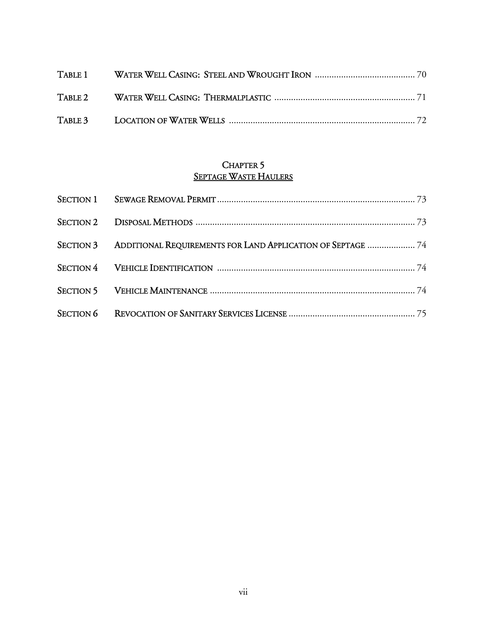## CHAPTER 5 SEPTAGE WASTE HAULERS

| SECTION 3 ADDITIONAL REQUIREMENTS FOR LAND APPLICATION OF SEPTAGE  74 |  |
|-----------------------------------------------------------------------|--|
|                                                                       |  |
|                                                                       |  |
|                                                                       |  |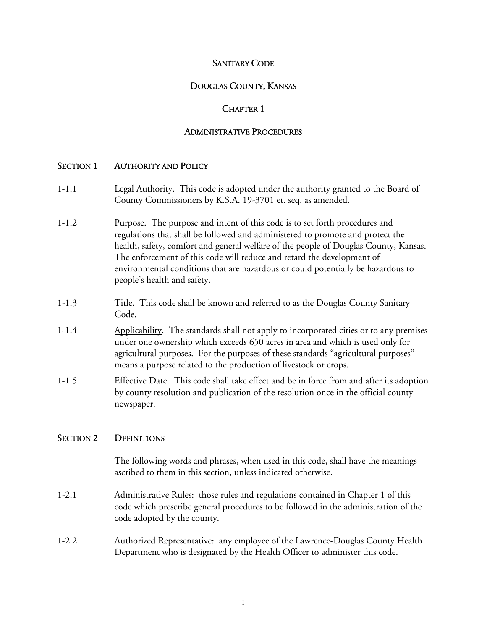## SANITARY CODE

## DOUGLAS COUNTY, KANSAS

### CHAPTER 1

#### ADMINISTRATIVE PROCEDURES

#### SECTION 1 AUTHORITY AND POLICY

- 1-1.1 Legal Authority. This code is adopted under the authority granted to the Board of County Commissioners by K.S.A. 19-3701 et. seq. as amended.
- 1-1.2 Purpose. The purpose and intent of this code is to set forth procedures and regulations that shall be followed and administered to promote and protect the health, safety, comfort and general welfare of the people of Douglas County, Kansas. The enforcement of this code will reduce and retard the development of environmental conditions that are hazardous or could potentially be hazardous to people's health and safety.
- 1-1.3 Title. This code shall be known and referred to as the Douglas County Sanitary Code.
- 1-1.4 Applicability. The standards shall not apply to incorporated cities or to any premises under one ownership which exceeds 650 acres in area and which is used only for agricultural purposes. For the purposes of these standards "agricultural purposes" means a purpose related to the production of livestock or crops.
- 1-1.5 Effective Date. This code shall take effect and be in force from and after its adoption by county resolution and publication of the resolution once in the official county newspaper.

## SECTION 2 DEFINITIONS

 The following words and phrases, when used in this code, shall have the meanings ascribed to them in this section, unless indicated otherwise.

- 1-2.1 Administrative Rules: those rules and regulations contained in Chapter 1 of this code which prescribe general procedures to be followed in the administration of the code adopted by the county.
- 1-2.2 Authorized Representative: any employee of the Lawrence-Douglas County Health Department who is designated by the Health Officer to administer this code.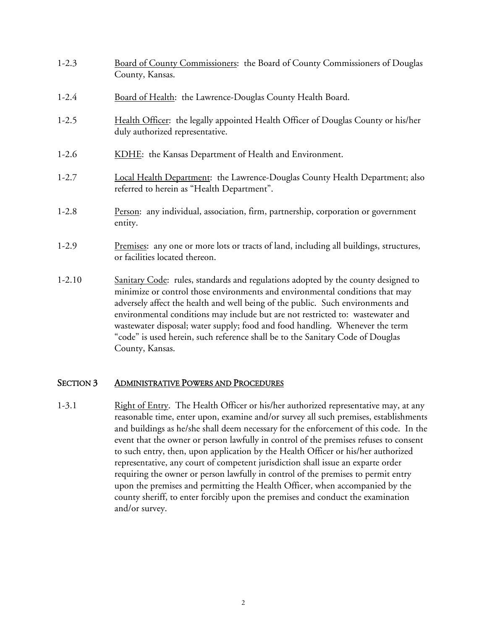| $1-2.3$    | Board of County Commissioners: the Board of County Commissioners of Douglas<br>County, Kansas.                                                                                                                                                                                                                                                                                                                                                                                                                              |  |  |
|------------|-----------------------------------------------------------------------------------------------------------------------------------------------------------------------------------------------------------------------------------------------------------------------------------------------------------------------------------------------------------------------------------------------------------------------------------------------------------------------------------------------------------------------------|--|--|
| $1-2.4$    | Board of Health: the Lawrence-Douglas County Health Board.                                                                                                                                                                                                                                                                                                                                                                                                                                                                  |  |  |
| $1-2.5$    | Health Officer: the legally appointed Health Officer of Douglas County or his/her<br>duly authorized representative.                                                                                                                                                                                                                                                                                                                                                                                                        |  |  |
| $1-2.6$    | KDHE: the Kansas Department of Health and Environment.                                                                                                                                                                                                                                                                                                                                                                                                                                                                      |  |  |
| $1-2.7$    | Local Health Department: the Lawrence-Douglas County Health Department; also<br>referred to herein as "Health Department".                                                                                                                                                                                                                                                                                                                                                                                                  |  |  |
| $1-2.8$    | Person: any individual, association, firm, partnership, corporation or government<br>entity.                                                                                                                                                                                                                                                                                                                                                                                                                                |  |  |
| $1-2.9$    | Premises: any one or more lots or tracts of land, including all buildings, structures,<br>or facilities located thereon.                                                                                                                                                                                                                                                                                                                                                                                                    |  |  |
| $1 - 2.10$ | Sanitary Code: rules, standards and regulations adopted by the county designed to<br>minimize or control those environments and environmental conditions that may<br>adversely affect the health and well being of the public. Such environments and<br>environmental conditions may include but are not restricted to: wastewater and<br>wastewater disposal; water supply; food and food handling. Whenever the term<br>"code" is used herein, such reference shall be to the Sanitary Code of Douglas<br>County, Kansas. |  |  |

#### SECTION 3 ADMINISTRATIVE POWERS AND PROCEDURES

1-3.1 Right of Entry. The Health Officer or his/her authorized representative may, at any reasonable time, enter upon, examine and/or survey all such premises, establishments and buildings as he/she shall deem necessary for the enforcement of this code. In the event that the owner or person lawfully in control of the premises refuses to consent to such entry, then, upon application by the Health Officer or his/her authorized representative, any court of competent jurisdiction shall issue an exparte order requiring the owner or person lawfully in control of the premises to permit entry upon the premises and permitting the Health Officer, when accompanied by the county sheriff, to enter forcibly upon the premises and conduct the examination and/or survey.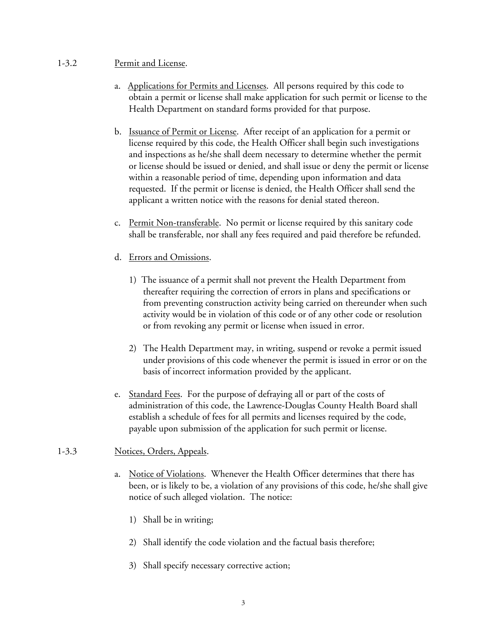#### 1-3.2 Permit and License.

- a. Applications for Permits and Licenses. All persons required by this code to obtain a permit or license shall make application for such permit or license to the Health Department on standard forms provided for that purpose.
- b. Issuance of Permit or License. After receipt of an application for a permit or license required by this code, the Health Officer shall begin such investigations and inspections as he/she shall deem necessary to determine whether the permit or license should be issued or denied, and shall issue or deny the permit or license within a reasonable period of time, depending upon information and data requested. If the permit or license is denied, the Health Officer shall send the applicant a written notice with the reasons for denial stated thereon.
- c. Permit Non-transferable. No permit or license required by this sanitary code shall be transferable, nor shall any fees required and paid therefore be refunded.
- d. Errors and Omissions.
	- 1) The issuance of a permit shall not prevent the Health Department from thereafter requiring the correction of errors in plans and specifications or from preventing construction activity being carried on thereunder when such activity would be in violation of this code or of any other code or resolution or from revoking any permit or license when issued in error.
	- 2) The Health Department may, in writing, suspend or revoke a permit issued under provisions of this code whenever the permit is issued in error or on the basis of incorrect information provided by the applicant.
- e. Standard Fees. For the purpose of defraying all or part of the costs of administration of this code, the Lawrence-Douglas County Health Board shall establish a schedule of fees for all permits and licenses required by the code, payable upon submission of the application for such permit or license.

#### 1-3.3 Notices, Orders, Appeals.

- a. Notice of Violations. Whenever the Health Officer determines that there has been, or is likely to be, a violation of any provisions of this code, he/she shall give notice of such alleged violation. The notice:
	- 1) Shall be in writing;
	- 2) Shall identify the code violation and the factual basis therefore;
	- 3) Shall specify necessary corrective action;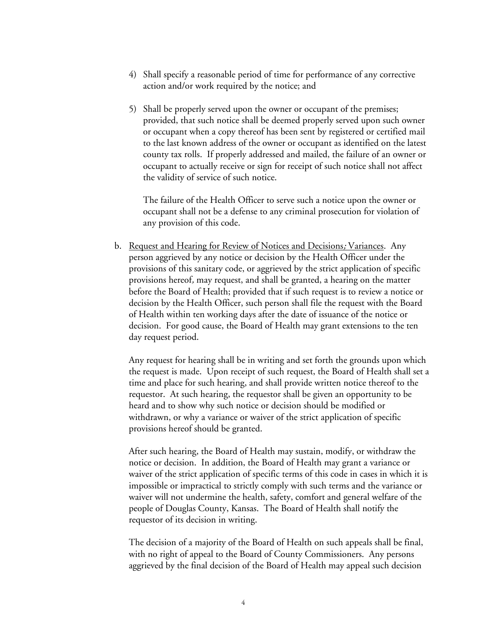- 4) Shall specify a reasonable period of time for performance of any corrective action and/or work required by the notice; and
- 5) Shall be properly served upon the owner or occupant of the premises; provided, that such notice shall be deemed properly served upon such owner or occupant when a copy thereof has been sent by registered or certified mail to the last known address of the owner or occupant as identified on the latest county tax rolls. If properly addressed and mailed, the failure of an owner or occupant to actually receive or sign for receipt of such notice shall not affect the validity of service of such notice.

The failure of the Health Officer to serve such a notice upon the owner or occupant shall not be a defense to any criminal prosecution for violation of any provision of this code.

b. Request and Hearing for Review of Notices and Decisions; Variances. Any person aggrieved by any notice or decision by the Health Officer under the provisions of this sanitary code, or aggrieved by the strict application of specific provisions hereof, may request, and shall be granted, a hearing on the matter before the Board of Health; provided that if such request is to review a notice or decision by the Health Officer, such person shall file the request with the Board of Health within ten working days after the date of issuance of the notice or decision. For good cause, the Board of Health may grant extensions to the ten day request period.

 Any request for hearing shall be in writing and set forth the grounds upon which the request is made. Upon receipt of such request, the Board of Health shall set a time and place for such hearing, and shall provide written notice thereof to the requestor. At such hearing, the requestor shall be given an opportunity to be heard and to show why such notice or decision should be modified or withdrawn, or why a variance or waiver of the strict application of specific provisions hereof should be granted.

 After such hearing, the Board of Health may sustain, modify, or withdraw the notice or decision. In addition, the Board of Health may grant a variance or waiver of the strict application of specific terms of this code in cases in which it is impossible or impractical to strictly comply with such terms and the variance or waiver will not undermine the health, safety, comfort and general welfare of the people of Douglas County, Kansas. The Board of Health shall notify the requestor of its decision in writing.

 The decision of a majority of the Board of Health on such appeals shall be final, with no right of appeal to the Board of County Commissioners. Any persons aggrieved by the final decision of the Board of Health may appeal such decision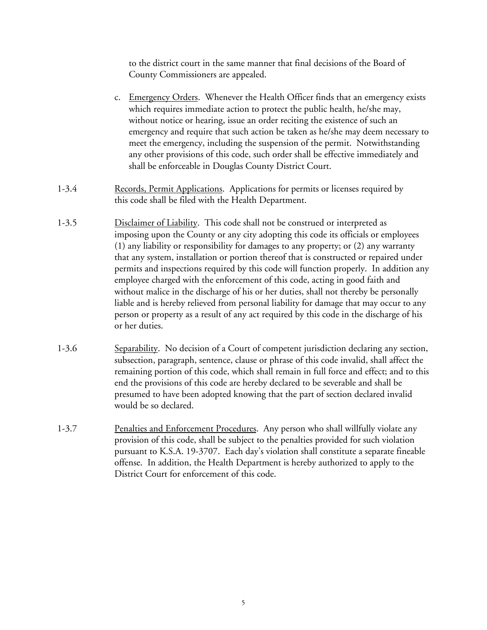to the district court in the same manner that final decisions of the Board of County Commissioners are appealed.

- c. Emergency Orders. Whenever the Health Officer finds that an emergency exists which requires immediate action to protect the public health, he/she may, without notice or hearing, issue an order reciting the existence of such an emergency and require that such action be taken as he/she may deem necessary to meet the emergency, including the suspension of the permit. Notwithstanding any other provisions of this code, such order shall be effective immediately and shall be enforceable in Douglas County District Court.
- 1-3.4 Records, Permit Applications. Applications for permits or licenses required by this code shall be filed with the Health Department.
- 1-3.5 Disclaimer of Liability. This code shall not be construed or interpreted as imposing upon the County or any city adopting this code its officials or employees (1) any liability or responsibility for damages to any property; or (2) any warranty that any system, installation or portion thereof that is constructed or repaired under permits and inspections required by this code will function properly. In addition any employee charged with the enforcement of this code, acting in good faith and without malice in the discharge of his or her duties, shall not thereby be personally liable and is hereby relieved from personal liability for damage that may occur to any person or property as a result of any act required by this code in the discharge of his or her duties.
- 1-3.6 Separability. No decision of a Court of competent jurisdiction declaring any section, subsection, paragraph, sentence, clause or phrase of this code invalid, shall affect the remaining portion of this code, which shall remain in full force and effect; and to this end the provisions of this code are hereby declared to be severable and shall be presumed to have been adopted knowing that the part of section declared invalid would be so declared.
- 1-3.7 Penalties and Enforcement Procedures. Any person who shall willfully violate any provision of this code, shall be subject to the penalties provided for such violation pursuant to K.S.A. 19-3707. Each day's violation shall constitute a separate fineable offense. In addition, the Health Department is hereby authorized to apply to the District Court for enforcement of this code.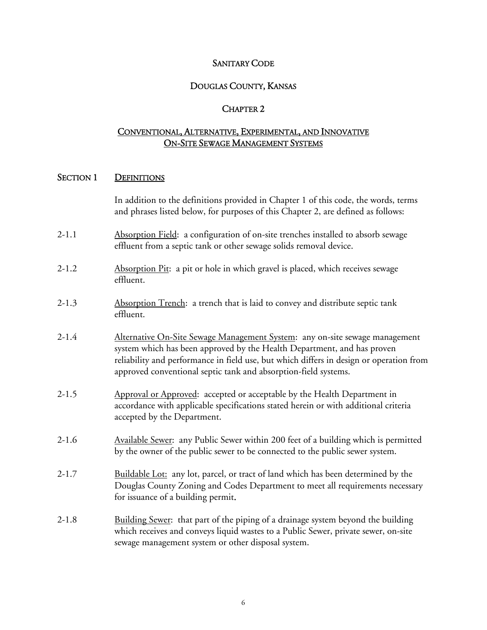#### SANITARY CODE

## DOUGLAS COUNTY, KANSAS

#### CHAPTER 2

## CONVENTIONAL, ALTERNATIVE, EXPERIMENTAL, AND INNOVATIVE ON-SITE SEWAGE MANAGEMENT SYSTEMS

#### SECTION 1 DEFINITIONS

 In addition to the definitions provided in Chapter 1 of this code, the words, terms and phrases listed below, for purposes of this Chapter 2, are defined as follows:

- 2-1.1 Absorption Field: a configuration of on-site trenches installed to absorb sewage effluent from a septic tank or other sewage solids removal device.
- 2-1.2 Absorption Pit: a pit or hole in which gravel is placed, which receives sewage effluent.
- 2-1.3 Absorption Trench: a trench that is laid to convey and distribute septic tank effluent.
- 2-1.4 Alternative On-Site Sewage Management System: any on-site sewage management system which has been approved by the Health Department, and has proven reliability and performance in field use, but which differs in design or operation from approved conventional septic tank and absorption-field systems.
- 2-1.5 Approval or Approved: accepted or acceptable by the Health Department in accordance with applicable specifications stated herein or with additional criteria accepted by the Department.
- 2-1.6 Available Sewer: any Public Sewer within 200 feet of a building which is permitted by the owner of the public sewer to be connected to the public sewer system.
- 2-1.7 Buildable Lot: any lot, parcel, or tract of land which has been determined by the Douglas County Zoning and Codes Department to meet all requirements necessary for issuance of a building permit.
- 2-1.8 Building Sewer: that part of the piping of a drainage system beyond the building which receives and conveys liquid wastes to a Public Sewer, private sewer, on-site sewage management system or other disposal system.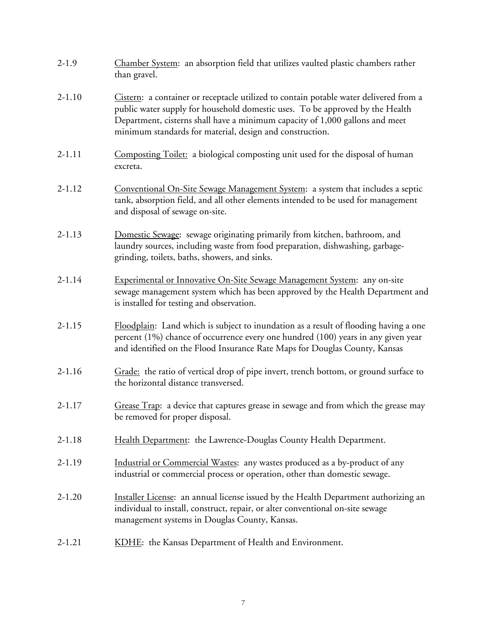| $2-1.9$    | Chamber System: an absorption field that utilizes vaulted plastic chambers rather<br>than gravel.                                                                                                                                                                                                                  |
|------------|--------------------------------------------------------------------------------------------------------------------------------------------------------------------------------------------------------------------------------------------------------------------------------------------------------------------|
| $2 - 1.10$ | Cistern: a container or receptacle utilized to contain potable water delivered from a<br>public water supply for household domestic uses. To be approved by the Health<br>Department, cisterns shall have a minimum capacity of 1,000 gallons and meet<br>minimum standards for material, design and construction. |
| $2 - 1.11$ | Composting Toilet: a biological composting unit used for the disposal of human<br>excreta.                                                                                                                                                                                                                         |
| $2 - 1.12$ | Conventional On-Site Sewage Management System: a system that includes a septic<br>tank, absorption field, and all other elements intended to be used for management<br>and disposal of sewage on-site.                                                                                                             |
| $2 - 1.13$ | Domestic Sewage: sewage originating primarily from kitchen, bathroom, and<br>laundry sources, including waste from food preparation, dishwashing, garbage-<br>grinding, toilets, baths, showers, and sinks.                                                                                                        |
| $2 - 1.14$ | Experimental or Innovative On-Site Sewage Management System: any on-site<br>sewage management system which has been approved by the Health Department and<br>is installed for testing and observation.                                                                                                             |
| $2 - 1.15$ | Floodplain: Land which is subject to inundation as a result of flooding having a one<br>percent (1%) chance of occurrence every one hundred (100) years in any given year<br>and identified on the Flood Insurance Rate Maps for Douglas County, Kansas                                                            |
| $2 - 1.16$ | Grade: the ratio of vertical drop of pipe invert, trench bottom, or ground surface to<br>the horizontal distance transversed.                                                                                                                                                                                      |
| $2 - 1.17$ | Grease Trap: a device that captures grease in sewage and from which the grease may<br>be removed for proper disposal.                                                                                                                                                                                              |
| $2 - 1.18$ | Health Department: the Lawrence-Douglas County Health Department.                                                                                                                                                                                                                                                  |
| $2 - 1.19$ | Industrial or Commercial Wastes: any wastes produced as a by-product of any<br>industrial or commercial process or operation, other than domestic sewage.                                                                                                                                                          |
| $2 - 1.20$ | Installer License: an annual license issued by the Health Department authorizing an<br>individual to install, construct, repair, or alter conventional on-site sewage<br>management systems in Douglas County, Kansas.                                                                                             |
| $2 - 1.21$ | KDHE: the Kansas Department of Health and Environment.                                                                                                                                                                                                                                                             |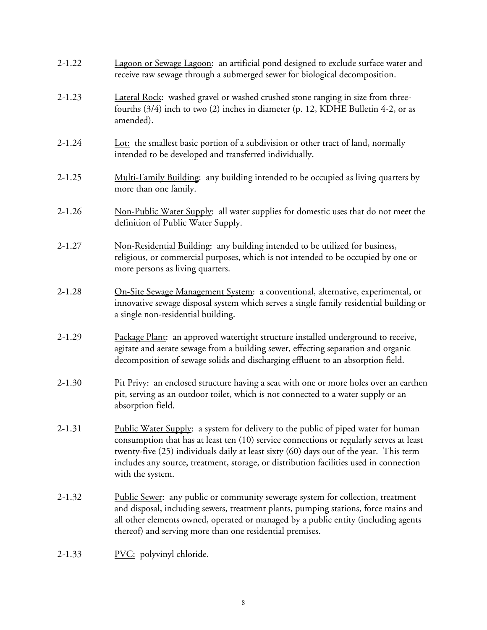| $2 - 1.22$ | Lagoon or Sewage Lagoon: an artificial pond designed to exclude surface water and<br>receive raw sewage through a submerged sewer for biological decomposition.                                                                                                                                                                                                                      |
|------------|--------------------------------------------------------------------------------------------------------------------------------------------------------------------------------------------------------------------------------------------------------------------------------------------------------------------------------------------------------------------------------------|
| $2 - 1.23$ | Lateral Rock: washed gravel or washed crushed stone ranging in size from three-<br>fourths (3/4) inch to two (2) inches in diameter (p. 12, KDHE Bulletin 4-2, or as<br>amended).                                                                                                                                                                                                    |
| $2 - 1.24$ | Lot: the smallest basic portion of a subdivision or other tract of land, normally<br>intended to be developed and transferred individually.                                                                                                                                                                                                                                          |
| $2 - 1.25$ | Multi-Family Building: any building intended to be occupied as living quarters by<br>more than one family.                                                                                                                                                                                                                                                                           |
| $2 - 1.26$ | Non-Public Water Supply: all water supplies for domestic uses that do not meet the<br>definition of Public Water Supply.                                                                                                                                                                                                                                                             |
| $2 - 1.27$ | Non-Residential Building: any building intended to be utilized for business,<br>religious, or commercial purposes, which is not intended to be occupied by one or<br>more persons as living quarters.                                                                                                                                                                                |
| $2 - 1.28$ | On-Site Sewage Management System: a conventional, alternative, experimental, or<br>innovative sewage disposal system which serves a single family residential building or<br>a single non-residential building.                                                                                                                                                                      |
| $2 - 1.29$ | Package Plant: an approved watertight structure installed underground to receive,<br>agitate and aerate sewage from a building sewer, effecting separation and organic<br>decomposition of sewage solids and discharging effluent to an absorption field.                                                                                                                            |
| $2 - 1.30$ | Pit Privy: an enclosed structure having a seat with one or more holes over an earthen<br>pit, serving as an outdoor toilet, which is not connected to a water supply or an<br>absorption field.                                                                                                                                                                                      |
| $2 - 1.31$ | Public Water Supply: a system for delivery to the public of piped water for human<br>consumption that has at least ten (10) service connections or regularly serves at least<br>twenty-five (25) individuals daily at least sixty (60) days out of the year. This term<br>includes any source, treatment, storage, or distribution facilities used in connection<br>with the system. |
| $2 - 1.32$ | <b>Public Sewer:</b> any public or community sewerage system for collection, treatment<br>and disposal, including sewers, treatment plants, pumping stations, force mains and<br>all other elements owned, operated or managed by a public entity (including agents<br>thereof) and serving more than one residential premises.                                                      |
| $2 - 1.33$ | <b>PVC:</b> polyvinyl chloride.                                                                                                                                                                                                                                                                                                                                                      |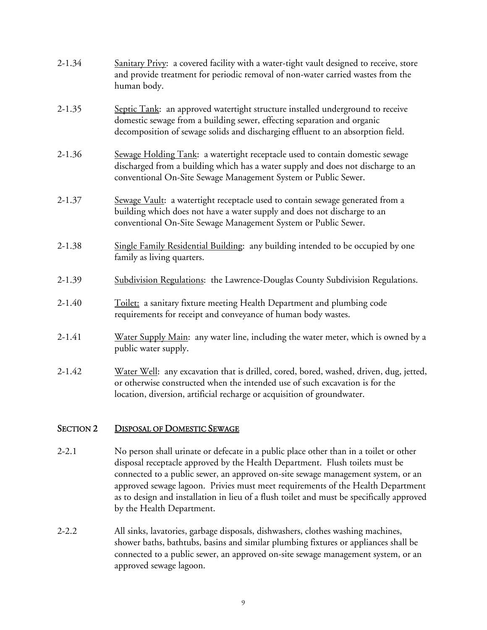| $2 - 1.34$ | Sanitary Privy: a covered facility with a water-tight vault designed to receive, store<br>and provide treatment for periodic removal of non-water carried wastes from the<br>human body.                                                          |
|------------|---------------------------------------------------------------------------------------------------------------------------------------------------------------------------------------------------------------------------------------------------|
| $2 - 1.35$ | Septic Tank: an approved watertight structure installed underground to receive<br>domestic sewage from a building sewer, effecting separation and organic<br>decomposition of sewage solids and discharging effluent to an absorption field.      |
| $2 - 1.36$ | Sewage Holding Tank: a watertight receptacle used to contain domestic sewage<br>discharged from a building which has a water supply and does not discharge to an<br>conventional On-Site Sewage Management System or Public Sewer.                |
| $2 - 1.37$ | Sewage Vault: a watertight receptacle used to contain sewage generated from a<br>building which does not have a water supply and does not discharge to an<br>conventional On-Site Sewage Management System or Public Sewer.                       |
| $2 - 1.38$ | Single Family Residential Building: any building intended to be occupied by one<br>family as living quarters.                                                                                                                                     |
| $2 - 1.39$ | Subdivision Regulations: the Lawrence-Douglas County Subdivision Regulations.                                                                                                                                                                     |
| $2 - 1.40$ | Toilet: a sanitary fixture meeting Health Department and plumbing code<br>requirements for receipt and conveyance of human body wastes.                                                                                                           |
| $2 - 1.41$ | Water Supply Main: any water line, including the water meter, which is owned by a<br>public water supply.                                                                                                                                         |
| $2 - 1.42$ | Water Well: any excavation that is drilled, cored, bored, washed, driven, dug, jetted,<br>or otherwise constructed when the intended use of such excavation is for the<br>location, diversion, artificial recharge or acquisition of groundwater. |

## SECTION 2 DISPOSAL OF DOMESTIC SEWAGE

- 2-2.1 No person shall urinate or defecate in a public place other than in a toilet or other disposal receptacle approved by the Health Department. Flush toilets must be connected to a public sewer, an approved on-site sewage management system, or an approved sewage lagoon. Privies must meet requirements of the Health Department as to design and installation in lieu of a flush toilet and must be specifically approved by the Health Department.
- 2-2.2 All sinks, lavatories, garbage disposals, dishwashers, clothes washing machines, shower baths, bathtubs, basins and similar plumbing fixtures or appliances shall be connected to a public sewer, an approved on-site sewage management system, or an approved sewage lagoon.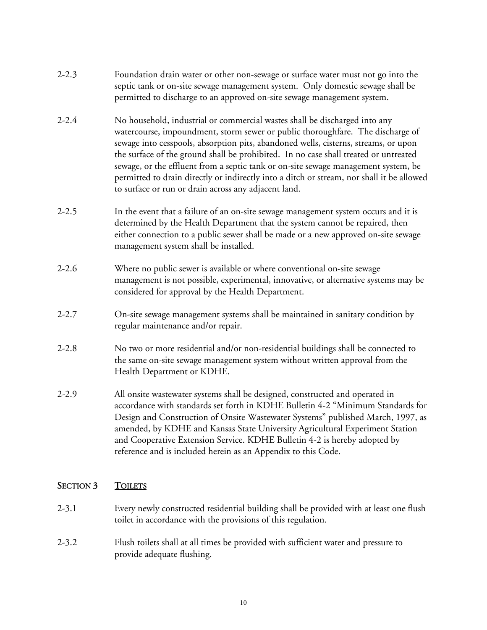- 2-2.3 Foundation drain water or other non-sewage or surface water must not go into the septic tank or on-site sewage management system. Only domestic sewage shall be permitted to discharge to an approved on-site sewage management system.
- 2-2.4 No household, industrial or commercial wastes shall be discharged into any watercourse, impoundment, storm sewer or public thoroughfare. The discharge of sewage into cesspools, absorption pits, abandoned wells, cisterns, streams, or upon the surface of the ground shall be prohibited. In no case shall treated or untreated sewage, or the effluent from a septic tank or on-site sewage management system, be permitted to drain directly or indirectly into a ditch or stream, nor shall it be allowed to surface or run or drain across any adjacent land.
- 2-2.5 In the event that a failure of an on-site sewage management system occurs and it is determined by the Health Department that the system cannot be repaired, then either connection to a public sewer shall be made or a new approved on-site sewage management system shall be installed.
- 2-2.6 Where no public sewer is available or where conventional on-site sewage management is not possible, experimental, innovative, or alternative systems may be considered for approval by the Health Department.
- 2-2.7 On-site sewage management systems shall be maintained in sanitary condition by regular maintenance and/or repair.
- 2-2.8 No two or more residential and/or non-residential buildings shall be connected to the same on-site sewage management system without written approval from the Health Department or KDHE.
- 2-2.9 All onsite wastewater systems shall be designed, constructed and operated in accordance with standards set forth in KDHE Bulletin 4-2 "Minimum Standards for Design and Construction of Onsite Wastewater Systems" published March, 1997, as amended, by KDHE and Kansas State University Agricultural Experiment Station and Cooperative Extension Service. KDHE Bulletin 4-2 is hereby adopted by reference and is included herein as an Appendix to this Code.

## SECTION 3 TOILETS

- 2-3.1 Every newly constructed residential building shall be provided with at least one flush toilet in accordance with the provisions of this regulation.
- 2-3.2 Flush toilets shall at all times be provided with sufficient water and pressure to provide adequate flushing.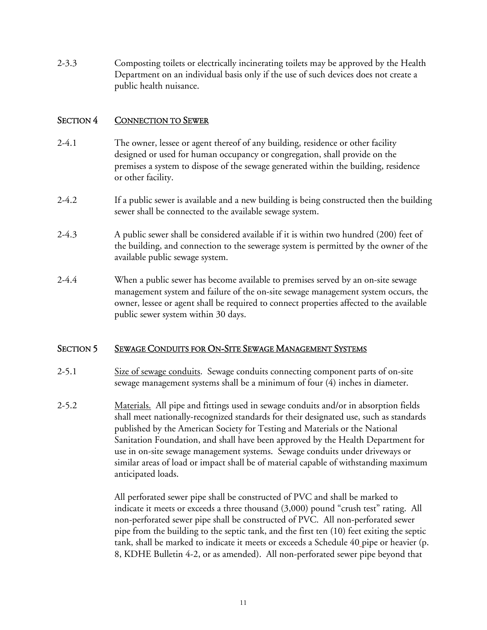2-3.3 Composting toilets or electrically incinerating toilets may be approved by the Health Department on an individual basis only if the use of such devices does not create a public health nuisance.

## SECTION 4 CONNECTION TO SEWER

- 2-4.1 The owner, lessee or agent thereof of any building, residence or other facility designed or used for human occupancy or congregation, shall provide on the premises a system to dispose of the sewage generated within the building, residence or other facility.
- 2-4.2 If a public sewer is available and a new building is being constructed then the building sewer shall be connected to the available sewage system.
- 2-4.3 A public sewer shall be considered available if it is within two hundred (200) feet of the building, and connection to the sewerage system is permitted by the owner of the available public sewage system.
- 2-4.4 When a public sewer has become available to premises served by an on-site sewage management system and failure of the on-site sewage management system occurs, the owner, lessee or agent shall be required to connect properties affected to the available public sewer system within 30 days.

#### SECTION 5 SEWAGE CONDUITS FOR ON-SITE SEWAGE MANAGEMENT SYSTEMS

- 2-5.1 Size of sewage conduits. Sewage conduits connecting component parts of on-site sewage management systems shall be a minimum of four (4) inches in diameter.
- 2-5.2 Materials. All pipe and fittings used in sewage conduits and/or in absorption fields shall meet nationally-recognized standards for their designated use, such as standards published by the American Society for Testing and Materials or the National Sanitation Foundation, and shall have been approved by the Health Department for use in on-site sewage management systems. Sewage conduits under driveways or similar areas of load or impact shall be of material capable of withstanding maximum anticipated loads.

 All perforated sewer pipe shall be constructed of PVC and shall be marked to indicate it meets or exceeds a three thousand (3,000) pound "crush test" rating. All non-perforated sewer pipe shall be constructed of PVC. All non-perforated sewer pipe from the building to the septic tank, and the first ten (10) feet exiting the septic tank, shall be marked to indicate it meets or exceeds a Schedule 40 pipe or heavier (p. 8, KDHE Bulletin 4-2, or as amended). All non-perforated sewer pipe beyond that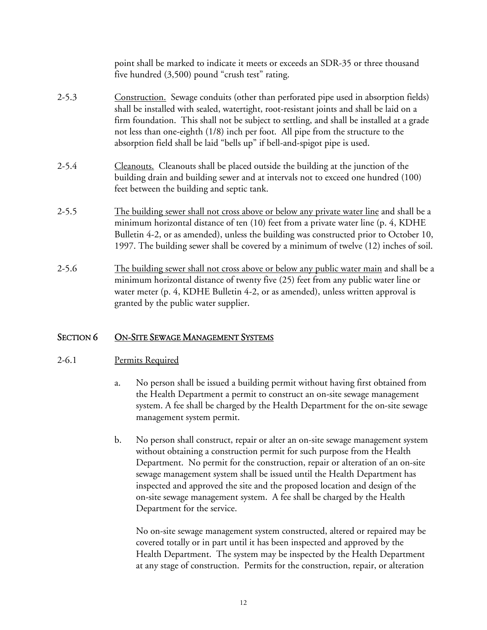|           | point shall be marked to indicate it meets or exceeds an SDR-35 or three thousand<br>five hundred (3,500) pound "crush test" rating.                                                                                                                                                                                                                                                                                                            |
|-----------|-------------------------------------------------------------------------------------------------------------------------------------------------------------------------------------------------------------------------------------------------------------------------------------------------------------------------------------------------------------------------------------------------------------------------------------------------|
| $2 - 5.3$ | Construction. Sewage conduits (other than perforated pipe used in absorption fields)<br>shall be installed with sealed, watertight, root-resistant joints and shall be laid on a<br>firm foundation. This shall not be subject to settling, and shall be installed at a grade<br>not less than one-eighth (1/8) inch per foot. All pipe from the structure to the<br>absorption field shall be laid "bells up" if bell-and-spigot pipe is used. |
| $2 - 5.4$ | Cleanouts. Cleanouts shall be placed outside the building at the junction of the<br>building drain and building sewer and at intervals not to exceed one hundred (100)<br>feet between the building and septic tank.                                                                                                                                                                                                                            |
| $2 - 5.5$ | The building sewer shall not cross above or below any private water line and shall be a<br>minimum horizontal distance of ten (10) feet from a private water line (p. 4, KDHE<br>Bulletin 4-2, or as amended), unless the building was constructed prior to October 10,<br>1997. The building sewer shall be covered by a minimum of twelve (12) inches of soil.                                                                                |
| $2 - 5.6$ | The building sewer shall not cross above or below any public water main and shall be a<br>minimum horizontal distance of twenty five $(25)$ feet from any public water line or<br>water meter (p. 4, KDHE Bulletin 4-2, or as amended), unless written approval is<br>granted by the public water supplier.                                                                                                                                     |

# SECTION 6 ON-SITE SEWAGE MANAGEMENT SYSTEMS

## 2-6.1 Permits Required

- a. No person shall be issued a building permit without having first obtained from the Health Department a permit to construct an on-site sewage management system. A fee shall be charged by the Health Department for the on-site sewage management system permit.
- b. No person shall construct, repair or alter an on-site sewage management system without obtaining a construction permit for such purpose from the Health Department. No permit for the construction, repair or alteration of an on-site sewage management system shall be issued until the Health Department has inspected and approved the site and the proposed location and design of the on-site sewage management system. A fee shall be charged by the Health Department for the service.

 No on-site sewage management system constructed, altered or repaired may be covered totally or in part until it has been inspected and approved by the Health Department. The system may be inspected by the Health Department at any stage of construction. Permits for the construction, repair, or alteration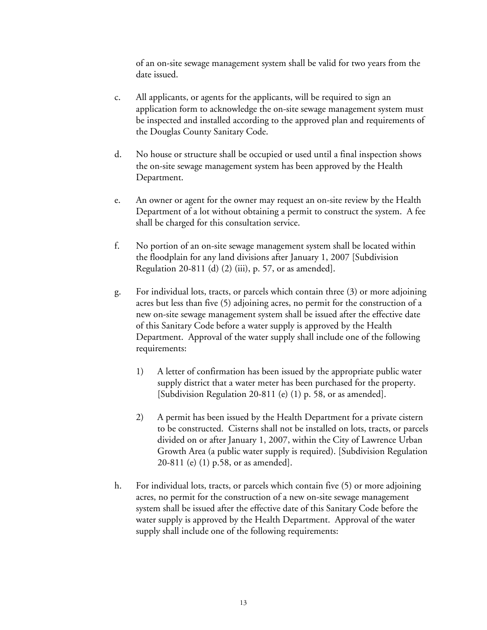of an on-site sewage management system shall be valid for two years from the date issued.

- c. All applicants, or agents for the applicants, will be required to sign an application form to acknowledge the on-site sewage management system must be inspected and installed according to the approved plan and requirements of the Douglas County Sanitary Code.
- d. No house or structure shall be occupied or used until a final inspection shows the on-site sewage management system has been approved by the Health Department.
- e. An owner or agent for the owner may request an on-site review by the Health Department of a lot without obtaining a permit to construct the system. A fee shall be charged for this consultation service.
- f. No portion of an on-site sewage management system shall be located within the floodplain for any land divisions after January 1, 2007 [Subdivision Regulation 20-811 (d) (2) (iii), p. 57, or as amended].
- g. For individual lots, tracts, or parcels which contain three (3) or more adjoining acres but less than five (5) adjoining acres, no permit for the construction of a new on-site sewage management system shall be issued after the effective date of this Sanitary Code before a water supply is approved by the Health Department. Approval of the water supply shall include one of the following requirements:
	- 1) A letter of confirmation has been issued by the appropriate public water supply district that a water meter has been purchased for the property. [Subdivision Regulation 20-811 (e) (1) p. 58, or as amended].
	- 2) A permit has been issued by the Health Department for a private cistern to be constructed. Cisterns shall not be installed on lots, tracts, or parcels divided on or after January 1, 2007, within the City of Lawrence Urban Growth Area (a public water supply is required). [Subdivision Regulation 20-811 (e) (1) p.58, or as amended].
- h. For individual lots, tracts, or parcels which contain five (5) or more adjoining acres, no permit for the construction of a new on-site sewage management system shall be issued after the effective date of this Sanitary Code before the water supply is approved by the Health Department. Approval of the water supply shall include one of the following requirements: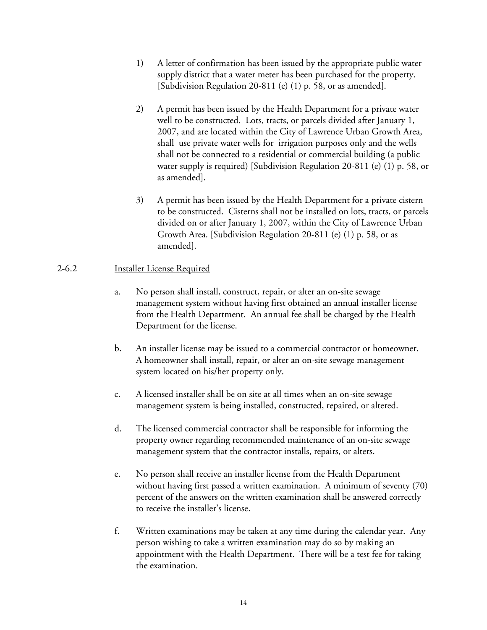- 1) A letter of confirmation has been issued by the appropriate public water supply district that a water meter has been purchased for the property. [Subdivision Regulation 20-811 (e) (1) p. 58, or as amended].
- 2) A permit has been issued by the Health Department for a private water well to be constructed. Lots, tracts, or parcels divided after January 1, 2007, and are located within the City of Lawrence Urban Growth Area, shall use private water wells for irrigation purposes only and the wells shall not be connected to a residential or commercial building (a public water supply is required) [Subdivision Regulation 20-811 (e) (1) p. 58, or as amended].
- 3) A permit has been issued by the Health Department for a private cistern to be constructed. Cisterns shall not be installed on lots, tracts, or parcels divided on or after January 1, 2007, within the City of Lawrence Urban Growth Area. [Subdivision Regulation 20-811 (e) (1) p. 58, or as amended].

### 2-6.2 Installer License Required

- a. No person shall install, construct, repair, or alter an on-site sewage management system without having first obtained an annual installer license from the Health Department. An annual fee shall be charged by the Health Department for the license.
- b. An installer license may be issued to a commercial contractor or homeowner. A homeowner shall install, repair, or alter an on-site sewage management system located on his/her property only.
- c. A licensed installer shall be on site at all times when an on-site sewage management system is being installed, constructed, repaired, or altered.
- d. The licensed commercial contractor shall be responsible for informing the property owner regarding recommended maintenance of an on-site sewage management system that the contractor installs, repairs, or alters.
- e. No person shall receive an installer license from the Health Department without having first passed a written examination. A minimum of seventy (70) percent of the answers on the written examination shall be answered correctly to receive the installer's license.
- f. Written examinations may be taken at any time during the calendar year. Any person wishing to take a written examination may do so by making an appointment with the Health Department. There will be a test fee for taking the examination.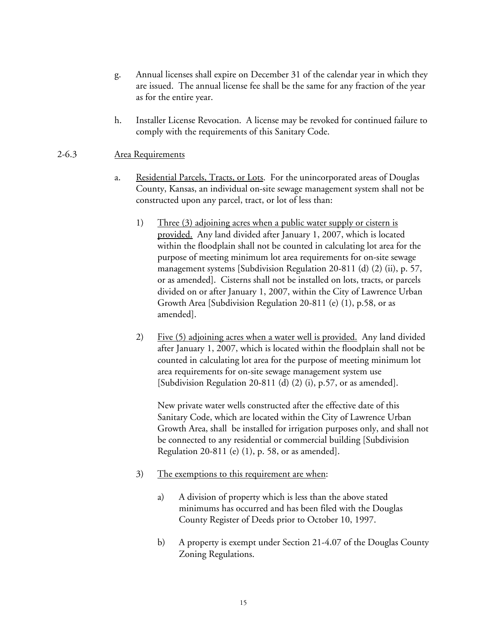- g. Annual licenses shall expire on December 31 of the calendar year in which they are issued. The annual license fee shall be the same for any fraction of the year as for the entire year.
- h. Installer License Revocation. A license may be revoked for continued failure to comply with the requirements of this Sanitary Code.

#### 2-6.3 Area Requirements

- a. Residential Parcels, Tracts, or Lots. For the unincorporated areas of Douglas County, Kansas, an individual on-site sewage management system shall not be constructed upon any parcel, tract, or lot of less than:
	- 1) Three (3) adjoining acres when a public water supply or cistern is provided. Any land divided after January 1, 2007, which is located within the floodplain shall not be counted in calculating lot area for the purpose of meeting minimum lot area requirements for on-site sewage management systems [Subdivision Regulation 20-811 (d) (2) (ii), p. 57, or as amended]. Cisterns shall not be installed on lots, tracts, or parcels divided on or after January 1, 2007, within the City of Lawrence Urban Growth Area [Subdivision Regulation 20-811 (e) (1), p.58, or as amended].
	- 2) Five (5) adjoining acres when a water well is provided. Any land divided after January 1, 2007, which is located within the floodplain shall not be counted in calculating lot area for the purpose of meeting minimum lot area requirements for on-site sewage management system use [Subdivision Regulation 20-811 (d) (2) (i), p.57, or as amended].

New private water wells constructed after the effective date of this Sanitary Code, which are located within the City of Lawrence Urban Growth Area, shall be installed for irrigation purposes only, and shall not be connected to any residential or commercial building [Subdivision Regulation 20-811 (e) (1), p. 58, or as amended].

- 3) The exemptions to this requirement are when:
	- a) A division of property which is less than the above stated minimums has occurred and has been filed with the Douglas County Register of Deeds prior to October 10, 1997.
	- b) A property is exempt under Section 21-4.07 of the Douglas County Zoning Regulations.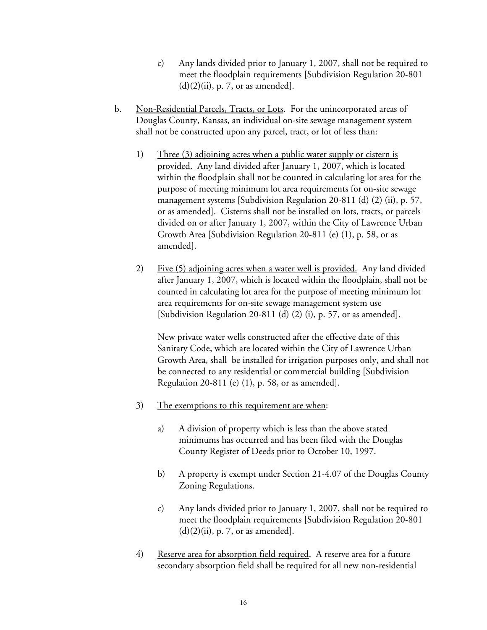- c) Any lands divided prior to January 1, 2007, shall not be required to meet the floodplain requirements [Subdivision Regulation 20-801  $(d)(2)(ii)$ , p. 7, or as amended].
- b. Non-Residential Parcels, Tracts, or Lots. For the unincorporated areas of Douglas County, Kansas, an individual on-site sewage management system shall not be constructed upon any parcel, tract, or lot of less than:
	- 1) Three (3) adjoining acres when a public water supply or cistern is provided. Any land divided after January 1, 2007, which is located within the floodplain shall not be counted in calculating lot area for the purpose of meeting minimum lot area requirements for on-site sewage management systems [Subdivision Regulation 20-811 (d) (2) (ii), p. 57, or as amended]. Cisterns shall not be installed on lots, tracts, or parcels divided on or after January 1, 2007, within the City of Lawrence Urban Growth Area [Subdivision Regulation 20-811 (e) (1), p. 58, or as amended].
	- 2) Five (5) adjoining acres when a water well is provided. Any land divided after January 1, 2007, which is located within the floodplain, shall not be counted in calculating lot area for the purpose of meeting minimum lot area requirements for on-site sewage management system use [Subdivision Regulation 20-811 (d) (2) (i), p. 57, or as amended].

 New private water wells constructed after the effective date of this Sanitary Code, which are located within the City of Lawrence Urban Growth Area, shall be installed for irrigation purposes only, and shall not be connected to any residential or commercial building [Subdivision Regulation 20-811 (e) (1), p. 58, or as amended].

- 3) The exemptions to this requirement are when:
	- a) A division of property which is less than the above stated minimums has occurred and has been filed with the Douglas County Register of Deeds prior to October 10, 1997.
	- b) A property is exempt under Section 21-4.07 of the Douglas County Zoning Regulations.
	- c) Any lands divided prior to January 1, 2007, shall not be required to meet the floodplain requirements [Subdivision Regulation 20-801  $(d)(2)(ii)$ , p. 7, or as amended].
- 4) Reserve area for absorption field required. A reserve area for a future secondary absorption field shall be required for all new non-residential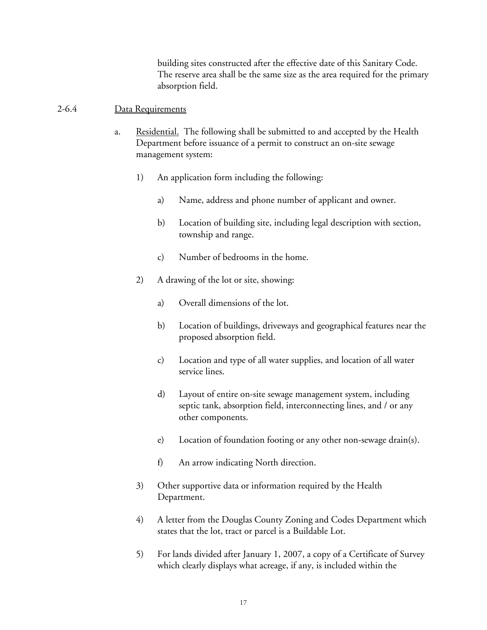building sites constructed after the effective date of this Sanitary Code. The reserve area shall be the same size as the area required for the primary absorption field.

#### 2-6.4 Data Requirements

- a. Residential. The following shall be submitted to and accepted by the Health Department before issuance of a permit to construct an on-site sewage management system:
	- 1) An application form including the following:
		- a) Name, address and phone number of applicant and owner.
		- b) Location of building site, including legal description with section, township and range.
		- c) Number of bedrooms in the home.
	- 2) A drawing of the lot or site, showing:
		- a) Overall dimensions of the lot.
		- b) Location of buildings, driveways and geographical features near the proposed absorption field.
		- c) Location and type of all water supplies, and location of all water service lines.
		- d) Layout of entire on-site sewage management system, including septic tank, absorption field, interconnecting lines, and / or any other components.
		- e) Location of foundation footing or any other non-sewage drain(s).
		- f) An arrow indicating North direction.
	- 3) Other supportive data or information required by the Health Department.
	- 4) A letter from the Douglas County Zoning and Codes Department which states that the lot, tract or parcel is a Buildable Lot.
	- 5) For lands divided after January 1, 2007, a copy of a Certificate of Survey which clearly displays what acreage, if any, is included within the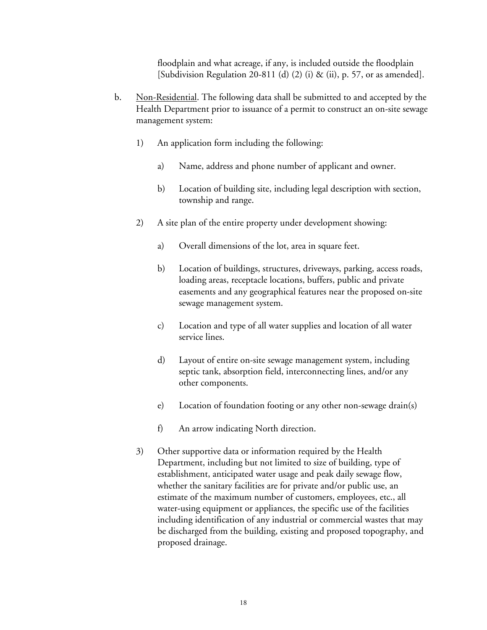floodplain and what acreage, if any, is included outside the floodplain [Subdivision Regulation 20-811 (d) (2) (i) & (ii), p. 57, or as amended].

- b. Non-Residential. The following data shall be submitted to and accepted by the Health Department prior to issuance of a permit to construct an on-site sewage management system:
	- 1) An application form including the following:
		- a) Name, address and phone number of applicant and owner.
		- b) Location of building site, including legal description with section, township and range.
	- 2) A site plan of the entire property under development showing:
		- a) Overall dimensions of the lot, area in square feet.
		- b) Location of buildings, structures, driveways, parking, access roads, loading areas, receptacle locations, buffers, public and private easements and any geographical features near the proposed on-site sewage management system.
		- c) Location and type of all water supplies and location of all water service lines.
		- d) Layout of entire on-site sewage management system, including septic tank, absorption field, interconnecting lines, and/or any other components.
		- e) Location of foundation footing or any other non-sewage drain(s)
		- f) An arrow indicating North direction.
	- 3) Other supportive data or information required by the Health Department, including but not limited to size of building, type of establishment, anticipated water usage and peak daily sewage flow, whether the sanitary facilities are for private and/or public use, an estimate of the maximum number of customers, employees, etc., all water-using equipment or appliances, the specific use of the facilities including identification of any industrial or commercial wastes that may be discharged from the building, existing and proposed topography, and proposed drainage.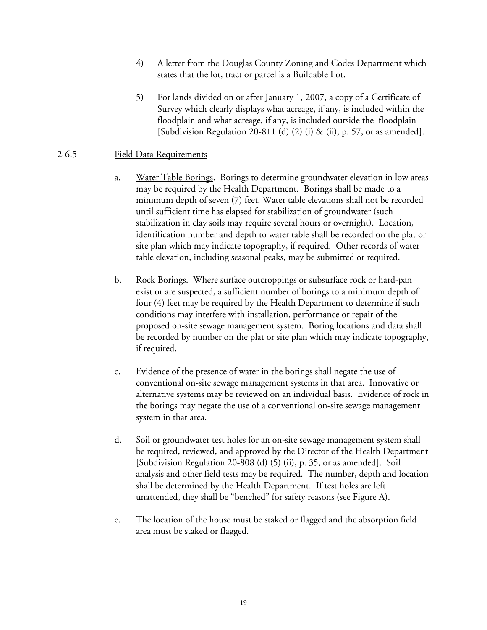- 4) A letter from the Douglas County Zoning and Codes Department which states that the lot, tract or parcel is a Buildable Lot.
- 5) For lands divided on or after January 1, 2007, a copy of a Certificate of Survey which clearly displays what acreage, if any, is included within the floodplain and what acreage, if any, is included outside the floodplain [Subdivision Regulation 20-811 (d) (2) (i) & (ii), p. 57, or as amended].

#### 2-6.5 Field Data Requirements

- a. Water Table Borings. Borings to determine groundwater elevation in low areas may be required by the Health Department. Borings shall be made to a minimum depth of seven (7) feet. Water table elevations shall not be recorded until sufficient time has elapsed for stabilization of groundwater (such stabilization in clay soils may require several hours or overnight). Location, identification number and depth to water table shall be recorded on the plat or site plan which may indicate topography, if required. Other records of water table elevation, including seasonal peaks, may be submitted or required.
- b. Rock Borings. Where surface outcroppings or subsurface rock or hard-pan exist or are suspected, a sufficient number of borings to a minimum depth of four (4) feet may be required by the Health Department to determine if such conditions may interfere with installation, performance or repair of the proposed on-site sewage management system. Boring locations and data shall be recorded by number on the plat or site plan which may indicate topography, if required.
- c. Evidence of the presence of water in the borings shall negate the use of conventional on-site sewage management systems in that area. Innovative or alternative systems may be reviewed on an individual basis. Evidence of rock in the borings may negate the use of a conventional on-site sewage management system in that area.
- d. Soil or groundwater test holes for an on-site sewage management system shall be required, reviewed, and approved by the Director of the Health Department [Subdivision Regulation 20-808 (d) (5) (ii), p. 35, or as amended]. Soil analysis and other field tests may be required. The number, depth and location shall be determined by the Health Department. If test holes are left unattended, they shall be "benched" for safety reasons (see Figure A).
- e. The location of the house must be staked or flagged and the absorption field area must be staked or flagged.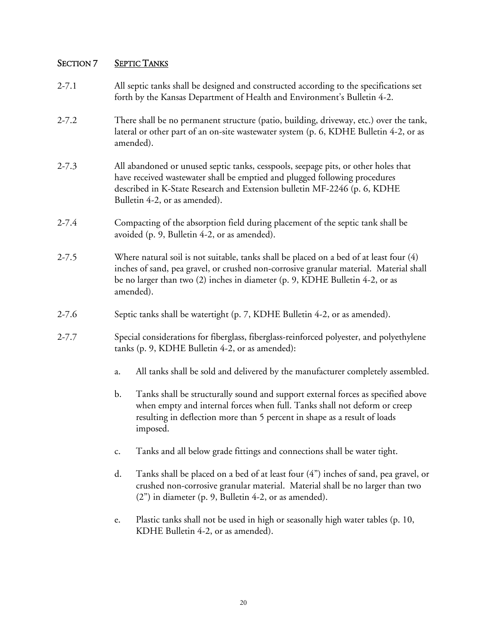# SECTION 7 SEPTIC TANKS

| $2 - 7.1$ |    | All septic tanks shall be designed and constructed according to the specifications set<br>forth by the Kansas Department of Health and Environment's Bulletin 4-2.                                                                                                             |  |  |  |
|-----------|----|--------------------------------------------------------------------------------------------------------------------------------------------------------------------------------------------------------------------------------------------------------------------------------|--|--|--|
| $2 - 7.2$ |    | There shall be no permanent structure (patio, building, driveway, etc.) over the tank,<br>lateral or other part of an on-site wastewater system (p. 6, KDHE Bulletin 4-2, or as<br>amended).                                                                                   |  |  |  |
| $2 - 7.3$ |    | All abandoned or unused septic tanks, cesspools, seepage pits, or other holes that<br>have received wastewater shall be emptied and plugged following procedures<br>described in K-State Research and Extension bulletin MF-2246 (p. 6, KDHE<br>Bulletin 4-2, or as amended).  |  |  |  |
| $2 - 7.4$ |    | Compacting of the absorption field during placement of the septic tank shall be<br>avoided (p. 9, Bulletin 4-2, or as amended).                                                                                                                                                |  |  |  |
| $2 - 7.5$ |    | Where natural soil is not suitable, tanks shall be placed on a bed of at least four (4)<br>inches of sand, pea gravel, or crushed non-corrosive granular material. Material shall<br>be no larger than two (2) inches in diameter (p. 9, KDHE Bulletin 4-2, or as<br>amended). |  |  |  |
| $2 - 7.6$ |    | Septic tanks shall be watertight (p. 7, KDHE Bulletin 4-2, or as amended).                                                                                                                                                                                                     |  |  |  |
| $2 - 7.7$ |    | Special considerations for fiberglass, fiberglass-reinforced polyester, and polyethylene<br>tanks (p. 9, KDHE Bulletin 4-2, or as amended):                                                                                                                                    |  |  |  |
|           | a. | All tanks shall be sold and delivered by the manufacturer completely assembled.                                                                                                                                                                                                |  |  |  |
|           | b. | Tanks shall be structurally sound and support external forces as specified above<br>when empty and internal forces when full. Tanks shall not deform or creep<br>resulting in deflection more than 5 percent in shape as a result of loads<br>imposed.                         |  |  |  |
|           | c. | Tanks and all below grade fittings and connections shall be water tight.                                                                                                                                                                                                       |  |  |  |
|           | d. | Tanks shall be placed on a bed of at least four (4") inches of sand, pea gravel, or<br>crushed non-corrosive granular material. Material shall be no larger than two<br>(2") in diameter (p. 9, Bulletin 4-2, or as amended).                                                  |  |  |  |
|           | e. | Plastic tanks shall not be used in high or seasonally high water tables (p. 10,<br>KDHE Bulletin 4-2, or as amended).                                                                                                                                                          |  |  |  |
|           |    |                                                                                                                                                                                                                                                                                |  |  |  |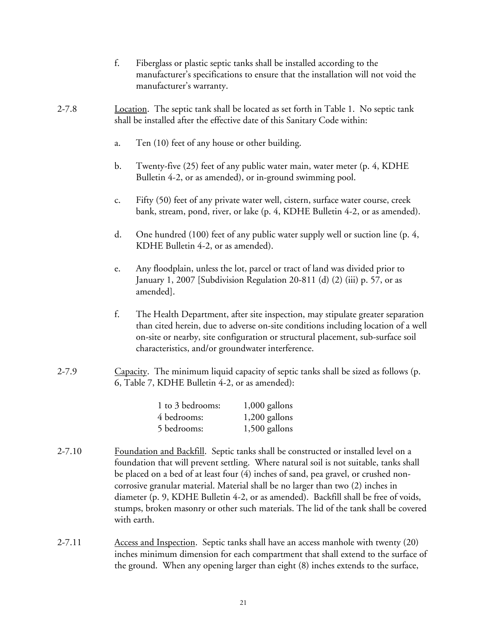- f. Fiberglass or plastic septic tanks shall be installed according to the manufacturer's specifications to ensure that the installation will not void the manufacturer's warranty.
- 2-7.8 Location. The septic tank shall be located as set forth in Table 1. No septic tank shall be installed after the effective date of this Sanitary Code within:
	- a. Ten (10) feet of any house or other building.
	- b. Twenty-five (25) feet of any public water main, water meter (p. 4, KDHE Bulletin 4-2, or as amended), or in-ground swimming pool.
	- c. Fifty (50) feet of any private water well, cistern, surface water course, creek bank, stream, pond, river, or lake (p. 4, KDHE Bulletin 4-2, or as amended).
	- d. One hundred (100) feet of any public water supply well or suction line (p. 4, KDHE Bulletin 4-2, or as amended).
	- e. Any floodplain, unless the lot, parcel or tract of land was divided prior to January 1, 2007 [Subdivision Regulation 20-811 (d) (2) (iii) p. 57, or as amended].
	- f. The Health Department, after site inspection, may stipulate greater separation than cited herein, due to adverse on-site conditions including location of a well on-site or nearby, site configuration or structural placement, sub-surface soil characteristics, and/or groundwater interference.
- 2-7.9 Capacity. The minimum liquid capacity of septic tanks shall be sized as follows (p. 6, Table 7, KDHE Bulletin 4-2, or as amended):

| 1 to 3 bedrooms: | 1,000 gallons   |
|------------------|-----------------|
| 4 bedrooms:      | 1,200 gallons   |
| 5 bedrooms:      | $1,500$ gallons |

- 2-7.10 Foundation and Backfill. Septic tanks shall be constructed or installed level on a foundation that will prevent settling. Where natural soil is not suitable, tanks shall be placed on a bed of at least four (4) inches of sand, pea gravel, or crushed noncorrosive granular material. Material shall be no larger than two (2) inches in diameter (p. 9, KDHE Bulletin 4-2, or as amended). Backfill shall be free of voids, stumps, broken masonry or other such materials. The lid of the tank shall be covered with earth.
- 2-7.11 Access and Inspection. Septic tanks shall have an access manhole with twenty (20) inches minimum dimension for each compartment that shall extend to the surface of the ground. When any opening larger than eight (8) inches extends to the surface,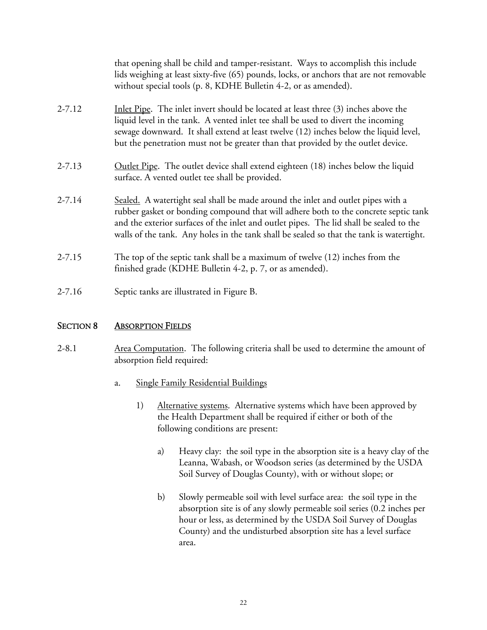|            | that opening shall be child and tamper-resistant. Ways to accomplish this include<br>lids weighing at least sixty-five (65) pounds, locks, or anchors that are not removable<br>without special tools (p. 8, KDHE Bulletin 4-2, or as amended).                                                                                                                |
|------------|----------------------------------------------------------------------------------------------------------------------------------------------------------------------------------------------------------------------------------------------------------------------------------------------------------------------------------------------------------------|
| $2 - 7.12$ | Inlet Pipe. The inlet invert should be located at least three (3) inches above the<br>liquid level in the tank. A vented inlet tee shall be used to divert the incoming<br>sewage downward. It shall extend at least twelve (12) inches below the liquid level,<br>but the penetration must not be greater than that provided by the outlet device.            |
| $2 - 7.13$ | Outlet Pipe. The outlet device shall extend eighteen (18) inches below the liquid<br>surface. A vented outlet tee shall be provided.                                                                                                                                                                                                                           |
| $2 - 7.14$ | Sealed. A watertight seal shall be made around the inlet and outlet pipes with a<br>rubber gasket or bonding compound that will adhere both to the concrete septic tank<br>and the exterior surfaces of the inlet and outlet pipes. The lid shall be sealed to the<br>walls of the tank. Any holes in the tank shall be sealed so that the tank is watertight. |
| $2 - 7.15$ | The top of the septic tank shall be a maximum of twelve (12) inches from the<br>finished grade (KDHE Bulletin 4-2, p. 7, or as amended).                                                                                                                                                                                                                       |
| $2 - 7.16$ | Septic tanks are illustrated in Figure B.                                                                                                                                                                                                                                                                                                                      |

#### SECTION 8 ABSORPTION FIELDS

- 2-8.1 Area Computation. The following criteria shall be used to determine the amount of absorption field required:
	- a. Single Family Residential Buildings
		- 1) Alternative systems. Alternative systems which have been approved by the Health Department shall be required if either or both of the following conditions are present:
			- a) Heavy clay: the soil type in the absorption site is a heavy clay of the Leanna, Wabash, or Woodson series (as determined by the USDA Soil Survey of Douglas County), with or without slope; or
			- b) Slowly permeable soil with level surface area: the soil type in the absorption site is of any slowly permeable soil series (0.2 inches per hour or less, as determined by the USDA Soil Survey of Douglas County) and the undisturbed absorption site has a level surface area.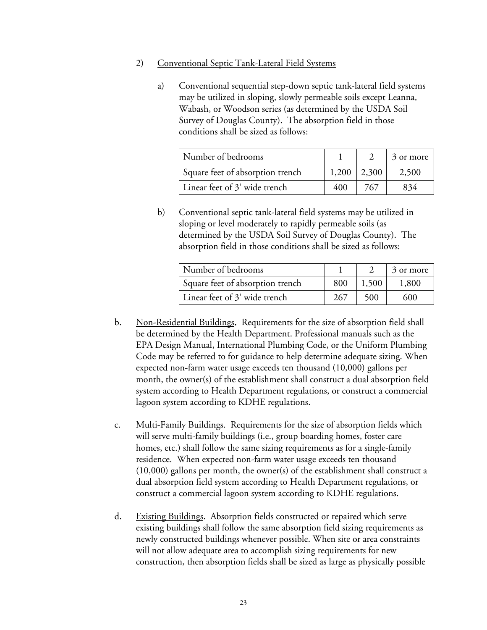- 2) Conventional Septic Tank-Lateral Field Systems
	- a) Conventional sequential step-down septic tank-lateral field systems may be utilized in sloping, slowly permeable soils except Leanna, Wabash, or Woodson series (as determined by the USDA Soil Survey of Douglas County). The absorption field in those conditions shall be sized as follows:

| Number of bedrooms               |       |       | 3 or more |
|----------------------------------|-------|-------|-----------|
| Square feet of absorption trench | 1,200 | 2,300 | 2.500     |
| Linear feet of 3' wide trench    | 400   | 767   | 834       |

b) Conventional septic tank-lateral field systems may be utilized in sloping or level moderately to rapidly permeable soils (as determined by the USDA Soil Survey of Douglas County). The absorption field in those conditions shall be sized as follows:

| Number of bedrooms               |     |       | 3 or more |
|----------------------------------|-----|-------|-----------|
| Square feet of absorption trench | 800 | 1.500 | 1.800     |
| Linear feet of 3' wide trench    | 267 | 500   | 600       |

- b. Non-Residential Buildings. Requirements for the size of absorption field shall be determined by the Health Department. Professional manuals such as the EPA Design Manual, International Plumbing Code, or the Uniform Plumbing Code may be referred to for guidance to help determine adequate sizing. When expected non-farm water usage exceeds ten thousand (10,000) gallons per month, the owner(s) of the establishment shall construct a dual absorption field system according to Health Department regulations, or construct a commercial lagoon system according to KDHE regulations.
- c. Multi-Family Buildings. Requirements for the size of absorption fields which will serve multi-family buildings (i.e., group boarding homes, foster care homes, etc.) shall follow the same sizing requirements as for a single-family residence. When expected non-farm water usage exceeds ten thousand (10,000) gallons per month, the owner(s) of the establishment shall construct a dual absorption field system according to Health Department regulations, or construct a commercial lagoon system according to KDHE regulations.
- d. Existing Buildings. Absorption fields constructed or repaired which serve existing buildings shall follow the same absorption field sizing requirements as newly constructed buildings whenever possible. When site or area constraints will not allow adequate area to accomplish sizing requirements for new construction, then absorption fields shall be sized as large as physically possible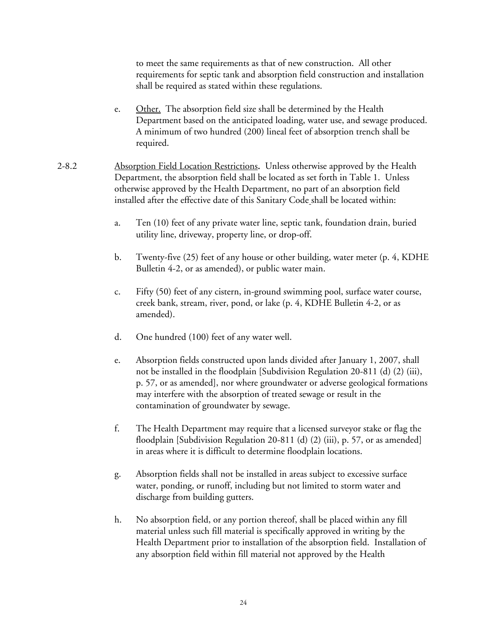to meet the same requirements as that of new construction. All other requirements for septic tank and absorption field construction and installation shall be required as stated within these regulations.

- e. Other. The absorption field size shall be determined by the Health Department based on the anticipated loading, water use, and sewage produced. A minimum of two hundred (200) lineal feet of absorption trench shall be required.
- 2-8.2 Absorption Field Location Restrictions. Unless otherwise approved by the Health Department, the absorption field shall be located as set forth in Table 1. Unless otherwise approved by the Health Department, no part of an absorption field installed after the effective date of this Sanitary Code shall be located within:
	- a. Ten (10) feet of any private water line, septic tank, foundation drain, buried utility line, driveway, property line, or drop-off.
	- b. Twenty-five (25) feet of any house or other building, water meter (p. 4, KDHE Bulletin 4-2, or as amended), or public water main.
	- c. Fifty (50) feet of any cistern, in-ground swimming pool, surface water course, creek bank, stream, river, pond, or lake (p. 4, KDHE Bulletin 4-2, or as amended).
	- d. One hundred (100) feet of any water well.
	- e. Absorption fields constructed upon lands divided after January 1, 2007, shall not be installed in the floodplain [Subdivision Regulation 20-811 (d) (2) (iii), p. 57, or as amended], nor where groundwater or adverse geological formations may interfere with the absorption of treated sewage or result in the contamination of groundwater by sewage.
	- f. The Health Department may require that a licensed surveyor stake or flag the floodplain [Subdivision Regulation 20-811 (d) (2) (iii), p. 57, or as amended] in areas where it is difficult to determine floodplain locations.
	- g. Absorption fields shall not be installed in areas subject to excessive surface water, ponding, or runoff, including but not limited to storm water and discharge from building gutters.
	- h. No absorption field, or any portion thereof, shall be placed within any fill material unless such fill material is specifically approved in writing by the Health Department prior to installation of the absorption field. Installation of any absorption field within fill material not approved by the Health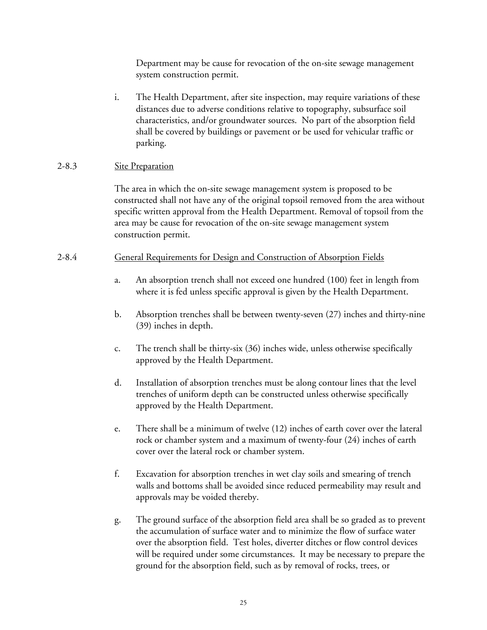Department may be cause for revocation of the on-site sewage management system construction permit.

i. The Health Department, after site inspection, may require variations of these distances due to adverse conditions relative to topography, subsurface soil characteristics, and/or groundwater sources. No part of the absorption field shall be covered by buildings or pavement or be used for vehicular traffic or parking.

### 2-8.3 Site Preparation

 The area in which the on-site sewage management system is proposed to be constructed shall not have any of the original topsoil removed from the area without specific written approval from the Health Department. Removal of topsoil from the area may be cause for revocation of the on-site sewage management system construction permit.

### 2-8.4 General Requirements for Design and Construction of Absorption Fields

- a. An absorption trench shall not exceed one hundred (100) feet in length from where it is fed unless specific approval is given by the Health Department.
- b. Absorption trenches shall be between twenty-seven (27) inches and thirty-nine (39) inches in depth.
- c. The trench shall be thirty-six (36) inches wide, unless otherwise specifically approved by the Health Department.
- d. Installation of absorption trenches must be along contour lines that the level trenches of uniform depth can be constructed unless otherwise specifically approved by the Health Department.
- e. There shall be a minimum of twelve (12) inches of earth cover over the lateral rock or chamber system and a maximum of twenty-four (24) inches of earth cover over the lateral rock or chamber system.
- f. Excavation for absorption trenches in wet clay soils and smearing of trench walls and bottoms shall be avoided since reduced permeability may result and approvals may be voided thereby.
- g. The ground surface of the absorption field area shall be so graded as to prevent the accumulation of surface water and to minimize the flow of surface water over the absorption field. Test holes, diverter ditches or flow control devices will be required under some circumstances. It may be necessary to prepare the ground for the absorption field, such as by removal of rocks, trees, or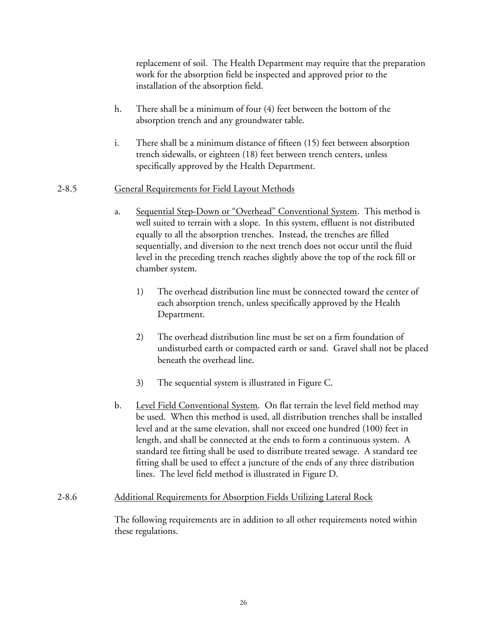replacement of soil. The Health Department may require that the preparation work for the absorption field be inspected and approved prior to the installation of the absorption field.

- h. There shall be a minimum of four (4) feet between the bottom of the absorption trench and any groundwater table.
- i. There shall be a minimum distance of fifteen (15) feet between absorption trench sidewalls, or eighteen (18) feet between trench centers, unless specifically approved by the Health Department.

## 2-8.5 General Requirements for Field Layout Methods

- a. Sequential Step-Down or "Overhead" Conventional System. This method is well suited to terrain with a slope. In this system, effluent is not distributed equally to all the absorption trenches. Instead, the trenches are filled sequentially, and diversion to the next trench does not occur until the fluid level in the preceding trench reaches slightly above the top of the rock fill or chamber system.
	- 1) The overhead distribution line must be connected toward the center of each absorption trench, unless specifically approved by the Health Department.
	- 2) The overhead distribution line must be set on a firm foundation of undisturbed earth or compacted earth or sand. Gravel shall not be placed beneath the overhead line.
	- 3) The sequential system is illustrated in Figure C.
- b. Level Field Conventional System. On flat terrain the level field method may be used. When this method is used, all distribution trenches shall be installed level and at the same elevation, shall not exceed one hundred (100) feet in length, and shall be connected at the ends to form a continuous system. A standard tee fitting shall be used to distribute treated sewage. A standard tee fitting shall be used to effect a juncture of the ends of any three distribution lines. The level field method is illustrated in Figure D.

## 2-8.6 Additional Requirements for Absorption Fields Utilizing Lateral Rock

The following requirements are in addition to all other requirements noted within these regulations.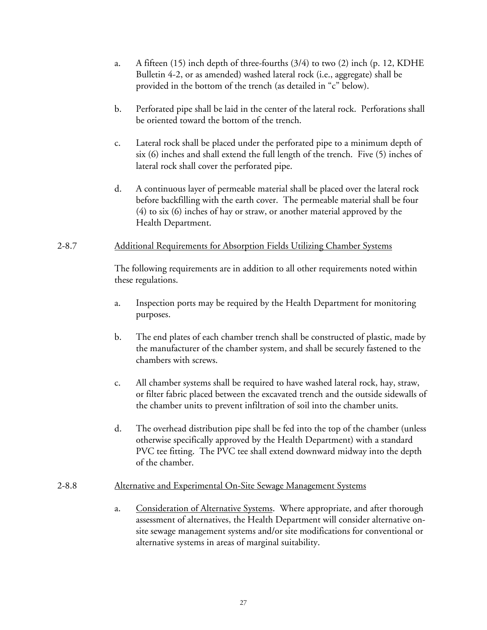- a. A fifteen (15) inch depth of three-fourths (3/4) to two (2) inch (p. 12, KDHE Bulletin 4-2, or as amended) washed lateral rock (i.e., aggregate) shall be provided in the bottom of the trench (as detailed in "c" below).
- b. Perforated pipe shall be laid in the center of the lateral rock. Perforations shall be oriented toward the bottom of the trench.
- c. Lateral rock shall be placed under the perforated pipe to a minimum depth of six (6) inches and shall extend the full length of the trench. Five (5) inches of lateral rock shall cover the perforated pipe.
- d. A continuous layer of permeable material shall be placed over the lateral rock before backfilling with the earth cover. The permeable material shall be four (4) to six (6) inches of hay or straw, or another material approved by the Health Department.

#### 2-8.7 Additional Requirements for Absorption Fields Utilizing Chamber Systems

The following requirements are in addition to all other requirements noted within these regulations.

- a. Inspection ports may be required by the Health Department for monitoring purposes.
- b. The end plates of each chamber trench shall be constructed of plastic, made by the manufacturer of the chamber system, and shall be securely fastened to the chambers with screws.
- c. All chamber systems shall be required to have washed lateral rock, hay, straw, or filter fabric placed between the excavated trench and the outside sidewalls of the chamber units to prevent infiltration of soil into the chamber units.
- d. The overhead distribution pipe shall be fed into the top of the chamber (unless otherwise specifically approved by the Health Department) with a standard PVC tee fitting. The PVC tee shall extend downward midway into the depth of the chamber.

#### 2-8.8 Alternative and Experimental On-Site Sewage Management Systems

a. Consideration of Alternative Systems. Where appropriate, and after thorough assessment of alternatives, the Health Department will consider alternative onsite sewage management systems and/or site modifications for conventional or alternative systems in areas of marginal suitability.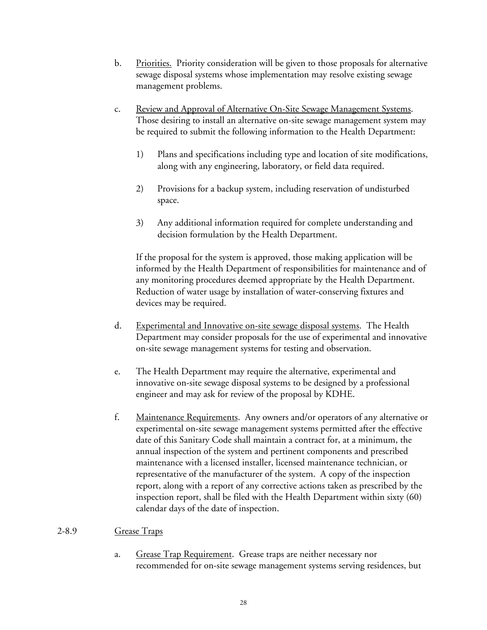- b. Priorities. Priority consideration will be given to those proposals for alternative sewage disposal systems whose implementation may resolve existing sewage management problems.
- c. Review and Approval of Alternative On-Site Sewage Management Systems. Those desiring to install an alternative on-site sewage management system may be required to submit the following information to the Health Department:
	- 1) Plans and specifications including type and location of site modifications, along with any engineering, laboratory, or field data required.
	- 2) Provisions for a backup system, including reservation of undisturbed space.
	- 3) Any additional information required for complete understanding and decision formulation by the Health Department.

If the proposal for the system is approved, those making application will be informed by the Health Department of responsibilities for maintenance and of any monitoring procedures deemed appropriate by the Health Department. Reduction of water usage by installation of water-conserving fixtures and devices may be required.

- d. Experimental and Innovative on-site sewage disposal systems. The Health Department may consider proposals for the use of experimental and innovative on-site sewage management systems for testing and observation.
- e. The Health Department may require the alternative, experimental and innovative on-site sewage disposal systems to be designed by a professional engineer and may ask for review of the proposal by KDHE.
- f. Maintenance Requirements. Any owners and/or operators of any alternative or experimental on-site sewage management systems permitted after the effective date of this Sanitary Code shall maintain a contract for, at a minimum, the annual inspection of the system and pertinent components and prescribed maintenance with a licensed installer, licensed maintenance technician, or representative of the manufacturer of the system. A copy of the inspection report, along with a report of any corrective actions taken as prescribed by the inspection report, shall be filed with the Health Department within sixty (60) calendar days of the date of inspection.

#### 2-8.9 Grease Traps

a. Grease Trap Requirement. Grease traps are neither necessary nor recommended for on-site sewage management systems serving residences, but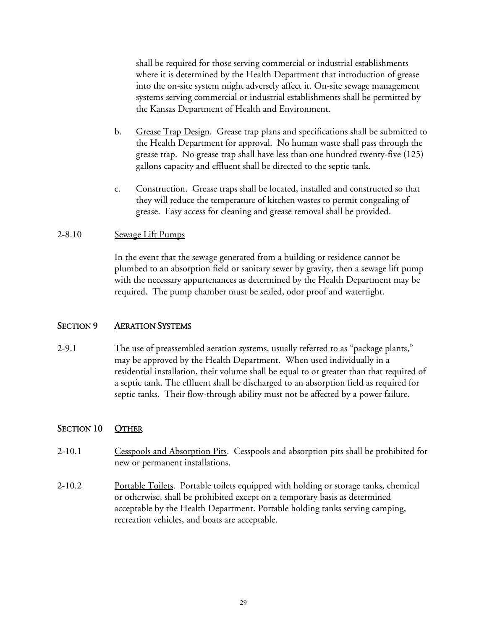shall be required for those serving commercial or industrial establishments where it is determined by the Health Department that introduction of grease into the on-site system might adversely affect it. On-site sewage management systems serving commercial or industrial establishments shall be permitted by the Kansas Department of Health and Environment.

- b. Grease Trap Design. Grease trap plans and specifications shall be submitted to the Health Department for approval. No human waste shall pass through the grease trap. No grease trap shall have less than one hundred twenty-five (125) gallons capacity and effluent shall be directed to the septic tank.
- c. Construction. Grease traps shall be located, installed and constructed so that they will reduce the temperature of kitchen wastes to permit congealing of grease. Easy access for cleaning and grease removal shall be provided.

#### 2-8.10 Sewage Lift Pumps

In the event that the sewage generated from a building or residence cannot be plumbed to an absorption field or sanitary sewer by gravity, then a sewage lift pump with the necessary appurtenances as determined by the Health Department may be required. The pump chamber must be sealed, odor proof and watertight.

#### SECTION 9 AERATION SYSTEMS

2-9.1 The use of preassembled aeration systems, usually referred to as "package plants," may be approved by the Health Department. When used individually in a residential installation, their volume shall be equal to or greater than that required of a septic tank. The effluent shall be discharged to an absorption field as required for septic tanks. Their flow-through ability must not be affected by a power failure.

#### SECTION 10 OTHER

- 2-10.1 Cesspools and Absorption Pits. Cesspools and absorption pits shall be prohibited for new or permanent installations.
- 2-10.2 Portable Toilets. Portable toilets equipped with holding or storage tanks, chemical or otherwise, shall be prohibited except on a temporary basis as determined acceptable by the Health Department. Portable holding tanks serving camping, recreation vehicles, and boats are acceptable.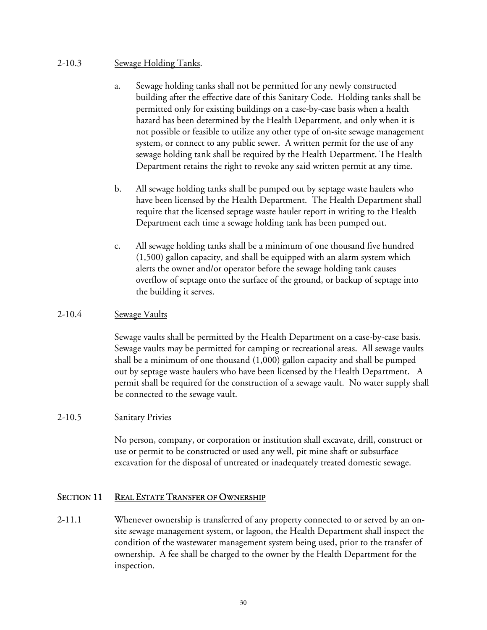#### 2-10.3 Sewage Holding Tanks.

- a. Sewage holding tanks shall not be permitted for any newly constructed building after the effective date of this Sanitary Code. Holding tanks shall be permitted only for existing buildings on a case-by-case basis when a health hazard has been determined by the Health Department, and only when it is not possible or feasible to utilize any other type of on-site sewage management system, or connect to any public sewer. A written permit for the use of any sewage holding tank shall be required by the Health Department. The Health Department retains the right to revoke any said written permit at any time.
- b. All sewage holding tanks shall be pumped out by septage waste haulers who have been licensed by the Health Department. The Health Department shall require that the licensed septage waste hauler report in writing to the Health Department each time a sewage holding tank has been pumped out.
- c. All sewage holding tanks shall be a minimum of one thousand five hundred (1,500) gallon capacity, and shall be equipped with an alarm system which alerts the owner and/or operator before the sewage holding tank causes overflow of septage onto the surface of the ground, or backup of septage into the building it serves.

#### 2-10.4 Sewage Vaults

 Sewage vaults shall be permitted by the Health Department on a case-by-case basis. Sewage vaults may be permitted for camping or recreational areas. All sewage vaults shall be a minimum of one thousand (1,000) gallon capacity and shall be pumped out by septage waste haulers who have been licensed by the Health Department. A permit shall be required for the construction of a sewage vault. No water supply shall be connected to the sewage vault.

#### 2-10.5 Sanitary Privies

No person, company, or corporation or institution shall excavate, drill, construct or use or permit to be constructed or used any well, pit mine shaft or subsurface excavation for the disposal of untreated or inadequately treated domestic sewage.

## SECTION 11 REAL ESTATE TRANSFER OF OWNERSHIP

2-11.1 Whenever ownership is transferred of any property connected to or served by an onsite sewage management system, or lagoon, the Health Department shall inspect the condition of the wastewater management system being used, prior to the transfer of ownership. A fee shall be charged to the owner by the Health Department for the inspection.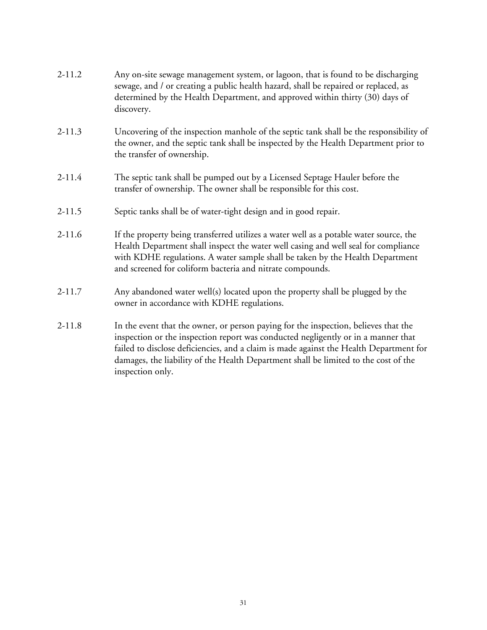| $2 - 11.2$ | Any on-site sewage management system, or lagoon, that is found to be discharging<br>sewage, and / or creating a public health hazard, shall be repaired or replaced, as<br>determined by the Health Department, and approved within thirty (30) days of<br>discovery.                                                                                                         |  |  |
|------------|-------------------------------------------------------------------------------------------------------------------------------------------------------------------------------------------------------------------------------------------------------------------------------------------------------------------------------------------------------------------------------|--|--|
| $2 - 11.3$ | Uncovering of the inspection manhole of the septic tank shall be the responsibility of<br>the owner, and the septic tank shall be inspected by the Health Department prior to<br>the transfer of ownership.                                                                                                                                                                   |  |  |
| $2 - 11.4$ | The septic tank shall be pumped out by a Licensed Septage Hauler before the<br>transfer of ownership. The owner shall be responsible for this cost.                                                                                                                                                                                                                           |  |  |
| $2 - 11.5$ | Septic tanks shall be of water-tight design and in good repair.                                                                                                                                                                                                                                                                                                               |  |  |
| $2 - 11.6$ | If the property being transferred utilizes a water well as a potable water source, the<br>Health Department shall inspect the water well casing and well seal for compliance<br>with KDHE regulations. A water sample shall be taken by the Health Department<br>and screened for coliform bacteria and nitrate compounds.                                                    |  |  |
| $2 - 11.7$ | Any abandoned water well(s) located upon the property shall be plugged by the<br>owner in accordance with KDHE regulations.                                                                                                                                                                                                                                                   |  |  |
| $2 - 11.8$ | In the event that the owner, or person paying for the inspection, believes that the<br>inspection or the inspection report was conducted negligently or in a manner that<br>failed to disclose deficiencies, and a claim is made against the Health Department for<br>damages, the liability of the Health Department shall be limited to the cost of the<br>inspection only. |  |  |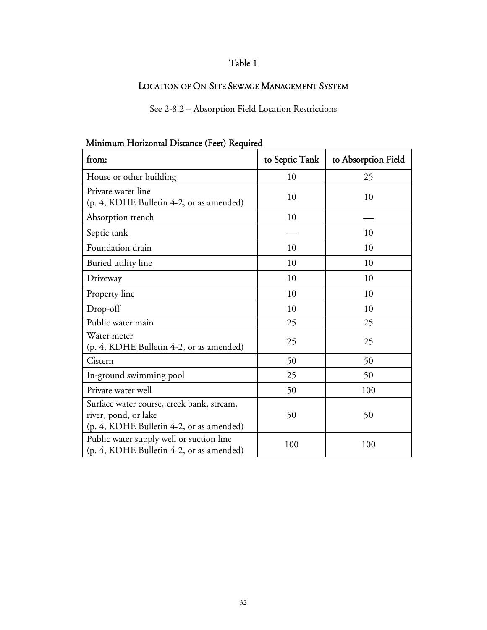# Table 1

# LOCATION OF ON-SITE SEWAGE MANAGEMENT SYSTEM

See 2-8.2 – Absorption Field Location Restrictions

| from:                                                                                                         | to Septic Tank | to Absorption Field |
|---------------------------------------------------------------------------------------------------------------|----------------|---------------------|
| House or other building                                                                                       | 10             | 25                  |
| Private water line<br>(p. 4, KDHE Bulletin 4-2, or as amended)                                                | 10             | 10                  |
| Absorption trench                                                                                             | 10             |                     |
| Septic tank                                                                                                   |                | 10                  |
| Foundation drain                                                                                              | 10             | 10                  |
| Buried utility line                                                                                           | 10             | 10                  |
| Driveway                                                                                                      | 10             | 10                  |
| Property line                                                                                                 | 10             | 10                  |
| Drop-off                                                                                                      | 10             | 10                  |
| Public water main                                                                                             | 25             | 25                  |
| Water meter<br>(p. 4, KDHE Bulletin 4-2, or as amended)                                                       | 25             | 25                  |
| Cistern                                                                                                       | 50             | 50                  |
| In-ground swimming pool                                                                                       | 25             | 50                  |
| Private water well                                                                                            | 50             | 100                 |
| Surface water course, creek bank, stream,<br>river, pond, or lake<br>(p. 4, KDHE Bulletin 4-2, or as amended) | 50             | 50                  |
| Public water supply well or suction line<br>(p. 4, KDHE Bulletin 4-2, or as amended)                          | 100            | 100                 |

## Minimum Horizontal Distance (Feet) Required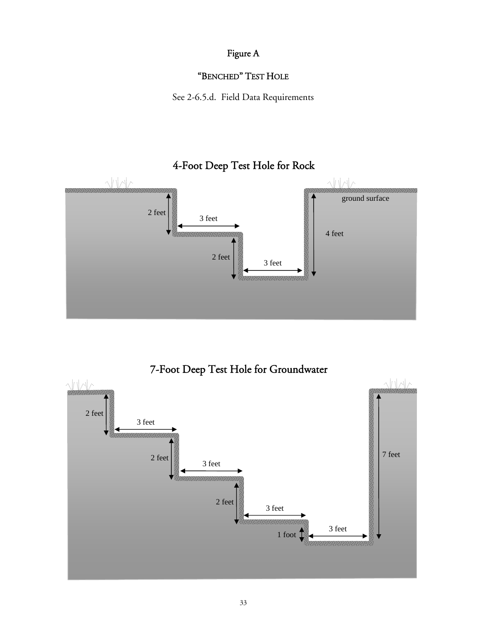# Figure A

# "BENCHED" TEST HOLE

See 2-6.5.d. Field Data Requirements

# 4-Foot Deep Test Hole for Rock



# 7-Foot Deep Test Hole for Groundwater

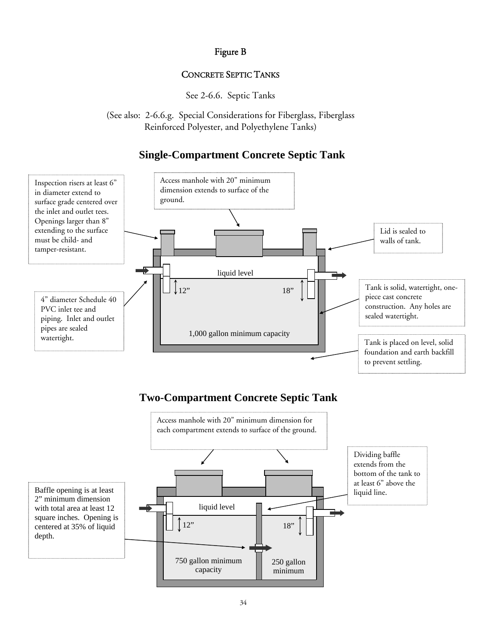# Figure B

## CONCRETE SEPTIC TANKS

See 2-6.6. Septic Tanks

(See also: 2-6.6.g. Special Considerations for Fiberglass, Fiberglass Reinforced Polyester, and Polyethylene Tanks)

# **Single-Compartment Concrete Septic Tank**

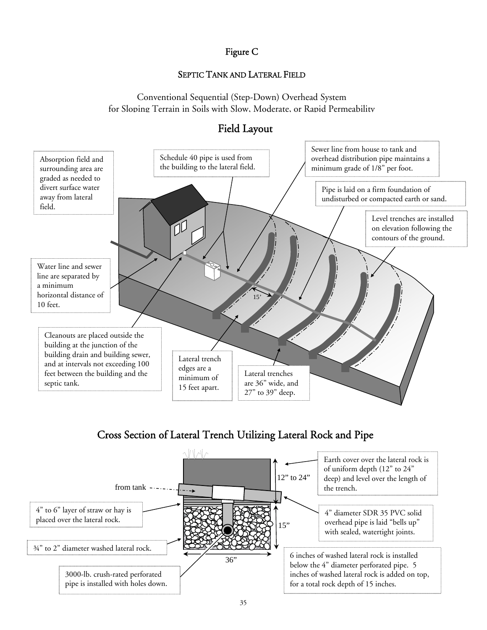## Figure C

## SEPTIC TANK AND LATERAL FIELD

Conventional Sequential (Step-Down) Overhead System for Sloping Terrain in Soils with Slow, Moderate, or Rapid Permeability



# Field Layout

# Cross Section of Lateral Trench Utilizing Lateral Rock and Pipe

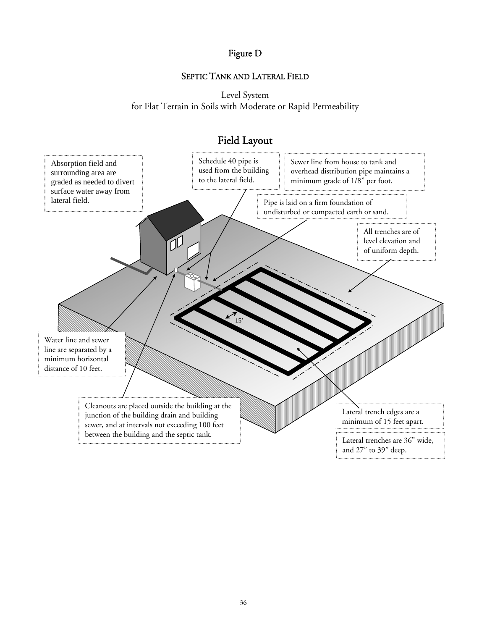# Figure D

## SEPTIC TANK AND LATERAL FIELD

Level System for Flat Terrain in Soils with Moderate or Rapid Permeability



# Field Layout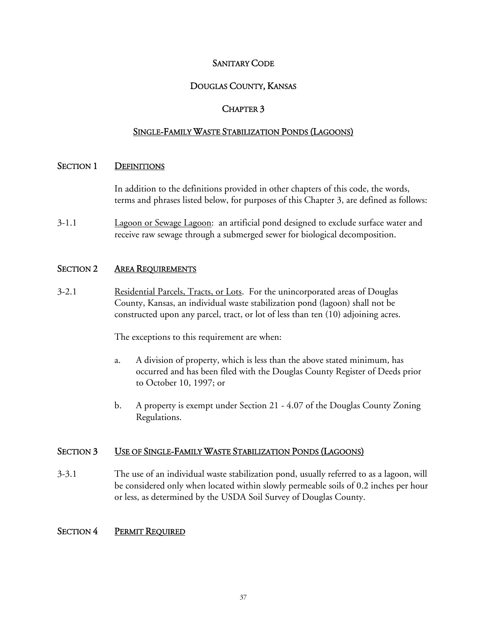#### SANITARY CODE

## DOUGLAS COUNTY, KANSAS

#### CHAPTER 3

#### SINGLE-FAMILY WASTE STABILIZATION PONDS (LAGOONS)

#### SECTION 1 DEFINITIONS

 In addition to the definitions provided in other chapters of this code, the words, terms and phrases listed below, for purposes of this Chapter 3, are defined as follows:

3-1.1 Lagoon or Sewage Lagoon: an artificial pond designed to exclude surface water and receive raw sewage through a submerged sewer for biological decomposition.

#### SECTION 2 AREA REQUIREMENTS

3-2.1 Residential Parcels, Tracts, or Lots. For the unincorporated areas of Douglas County, Kansas, an individual waste stabilization pond (lagoon) shall not be constructed upon any parcel, tract, or lot of less than ten (10) adjoining acres.

The exceptions to this requirement are when:

- a. A division of property, which is less than the above stated minimum, has occurred and has been filed with the Douglas County Register of Deeds prior to October 10, 1997; or
- b. A property is exempt under Section 21 4.07 of the Douglas County Zoning Regulations.

#### SECTION 3 USE OF SINGLE-FAMILY WASTE STABILIZATION PONDS (LAGOONS)

3-3.1 The use of an individual waste stabilization pond, usually referred to as a lagoon, will be considered only when located within slowly permeable soils of 0.2 inches per hour or less, as determined by the USDA Soil Survey of Douglas County.

#### SECTION 4 PERMIT REQUIRED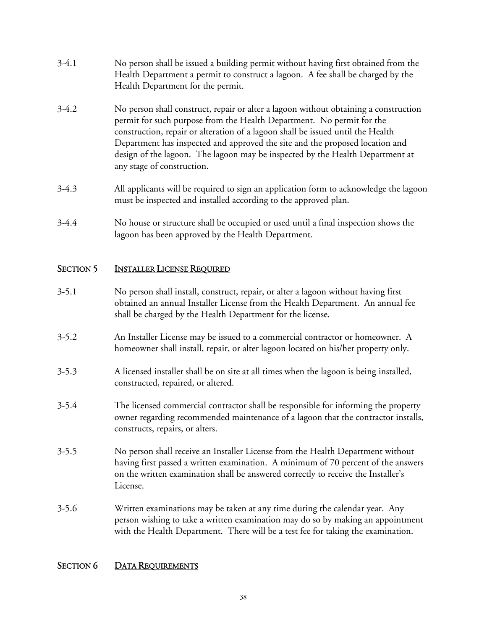- 3-4.1 No person shall be issued a building permit without having first obtained from the Health Department a permit to construct a lagoon. A fee shall be charged by the Health Department for the permit.
- 3-4.2 No person shall construct, repair or alter a lagoon without obtaining a construction permit for such purpose from the Health Department. No permit for the construction, repair or alteration of a lagoon shall be issued until the Health Department has inspected and approved the site and the proposed location and design of the lagoon. The lagoon may be inspected by the Health Department at any stage of construction.
- 3-4.3 All applicants will be required to sign an application form to acknowledge the lagoon must be inspected and installed according to the approved plan.
- 3-4.4 No house or structure shall be occupied or used until a final inspection shows the lagoon has been approved by the Health Department.

# SECTION 5 INSTALLER LICENSE REQUIRED

- 3-5.1 No person shall install, construct, repair, or alter a lagoon without having first obtained an annual Installer License from the Health Department. An annual fee shall be charged by the Health Department for the license.
- 3-5.2 An Installer License may be issued to a commercial contractor or homeowner. A homeowner shall install, repair, or alter lagoon located on his/her property only.
- 3-5.3 A licensed installer shall be on site at all times when the lagoon is being installed, constructed, repaired, or altered.
- 3-5.4 The licensed commercial contractor shall be responsible for informing the property owner regarding recommended maintenance of a lagoon that the contractor installs, constructs, repairs, or alters.
- 3-5.5 No person shall receive an Installer License from the Health Department without having first passed a written examination. A minimum of 70 percent of the answers on the written examination shall be answered correctly to receive the Installer's License.
- 3-5.6 Written examinations may be taken at any time during the calendar year. Any person wishing to take a written examination may do so by making an appointment with the Health Department. There will be a test fee for taking the examination.

## SECTION 6 DATA REQUIREMENTS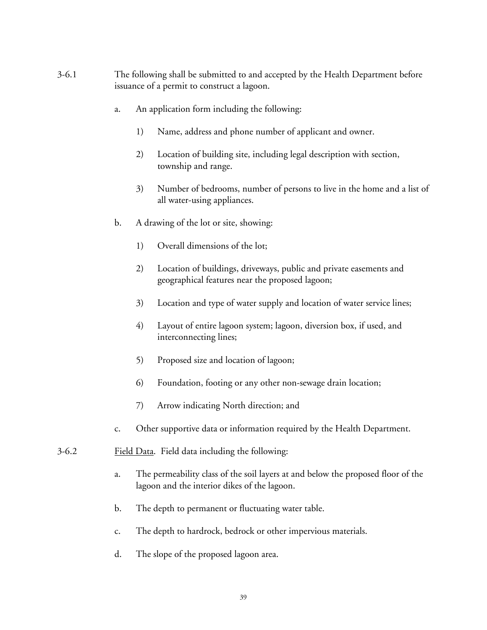- 3-6.1 The following shall be submitted to and accepted by the Health Department before issuance of a permit to construct a lagoon.
	- a. An application form including the following:
		- 1) Name, address and phone number of applicant and owner.
		- 2) Location of building site, including legal description with section, township and range.
		- 3) Number of bedrooms, number of persons to live in the home and a list of all water-using appliances.
	- b. A drawing of the lot or site, showing:
		- 1) Overall dimensions of the lot;
		- 2) Location of buildings, driveways, public and private easements and geographical features near the proposed lagoon;
		- 3) Location and type of water supply and location of water service lines;
		- 4) Layout of entire lagoon system; lagoon, diversion box, if used, and interconnecting lines;
		- 5) Proposed size and location of lagoon;
		- 6) Foundation, footing or any other non-sewage drain location;
		- 7) Arrow indicating North direction; and
	- c. Other supportive data or information required by the Health Department.
- 3-6.2 Field Data. Field data including the following:
	- a. The permeability class of the soil layers at and below the proposed floor of the lagoon and the interior dikes of the lagoon.
	- b. The depth to permanent or fluctuating water table.
	- c. The depth to hardrock, bedrock or other impervious materials.
	- d. The slope of the proposed lagoon area.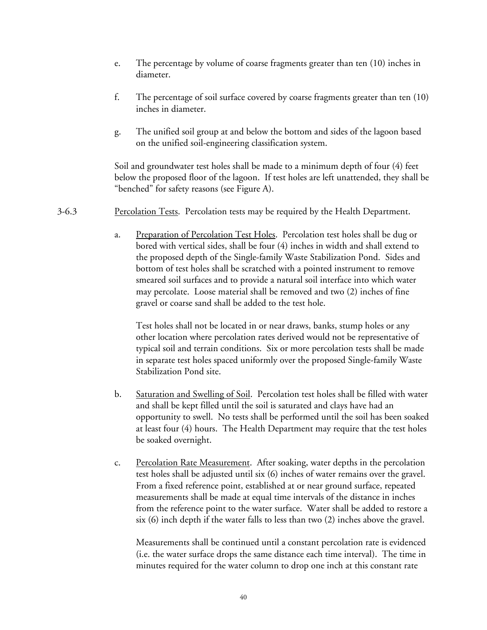- e. The percentage by volume of coarse fragments greater than ten (10) inches in diameter.
- f. The percentage of soil surface covered by coarse fragments greater than ten (10) inches in diameter.
- g. The unified soil group at and below the bottom and sides of the lagoon based on the unified soil-engineering classification system.

Soil and groundwater test holes shall be made to a minimum depth of four (4) feet below the proposed floor of the lagoon. If test holes are left unattended, they shall be "benched" for safety reasons (see Figure A).

- 3-6.3 Percolation Tests. Percolation tests may be required by the Health Department.
	- a. Preparation of Percolation Test Holes. Percolation test holes shall be dug or bored with vertical sides, shall be four (4) inches in width and shall extend to the proposed depth of the Single-family Waste Stabilization Pond. Sides and bottom of test holes shall be scratched with a pointed instrument to remove smeared soil surfaces and to provide a natural soil interface into which water may percolate. Loose material shall be removed and two (2) inches of fine gravel or coarse sand shall be added to the test hole.

 Test holes shall not be located in or near draws, banks, stump holes or any other location where percolation rates derived would not be representative of typical soil and terrain conditions. Six or more percolation tests shall be made in separate test holes spaced uniformly over the proposed Single-family Waste Stabilization Pond site.

- b. Saturation and Swelling of Soil. Percolation test holes shall be filled with water and shall be kept filled until the soil is saturated and clays have had an opportunity to swell. No tests shall be performed until the soil has been soaked at least four (4) hours. The Health Department may require that the test holes be soaked overnight.
- c. Percolation Rate Measurement. After soaking, water depths in the percolation test holes shall be adjusted until six (6) inches of water remains over the gravel. From a fixed reference point, established at or near ground surface, repeated measurements shall be made at equal time intervals of the distance in inches from the reference point to the water surface. Water shall be added to restore a six (6) inch depth if the water falls to less than two (2) inches above the gravel.

 Measurements shall be continued until a constant percolation rate is evidenced (i.e. the water surface drops the same distance each time interval). The time in minutes required for the water column to drop one inch at this constant rate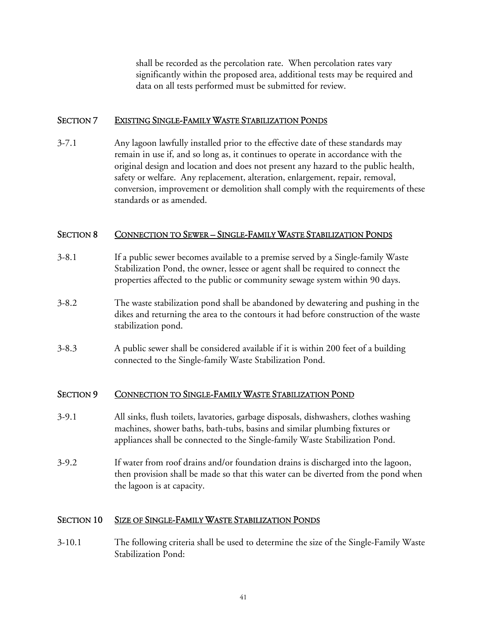shall be recorded as the percolation rate. When percolation rates vary significantly within the proposed area, additional tests may be required and data on all tests performed must be submitted for review.

#### SECTION 7 EXISTING SINGLE-FAMILY WASTE STABILIZATION PONDS

3-7.1 Any lagoon lawfully installed prior to the effective date of these standards may remain in use if, and so long as, it continues to operate in accordance with the original design and location and does not present any hazard to the public health, safety or welfare. Any replacement, alteration, enlargement, repair, removal, conversion, improvement or demolition shall comply with the requirements of these standards or as amended.

#### SECTION 8 CONNECTION TO SEWER – SINGLE-FAMILY WASTE STABILIZATION PONDS

- 3-8.1 If a public sewer becomes available to a premise served by a Single-family Waste Stabilization Pond, the owner, lessee or agent shall be required to connect the properties affected to the public or community sewage system within 90 days.
- 3-8.2 The waste stabilization pond shall be abandoned by dewatering and pushing in the dikes and returning the area to the contours it had before construction of the waste stabilization pond.
- 3-8.3 A public sewer shall be considered available if it is within 200 feet of a building connected to the Single-family Waste Stabilization Pond.

#### SECTION 9 CONNECTION TO SINGLE-FAMILY WASTE STABILIZATION POND

- 3-9.1 All sinks, flush toilets, lavatories, garbage disposals, dishwashers, clothes washing machines, shower baths, bath-tubs, basins and similar plumbing fixtures or appliances shall be connected to the Single-family Waste Stabilization Pond.
- 3-9.2 If water from roof drains and/or foundation drains is discharged into the lagoon, then provision shall be made so that this water can be diverted from the pond when the lagoon is at capacity.

## SECTION 10 SIZE OF SINGLE-FAMILY WASTE STABILIZATION PONDS

3-10.1 The following criteria shall be used to determine the size of the Single-Family Waste Stabilization Pond: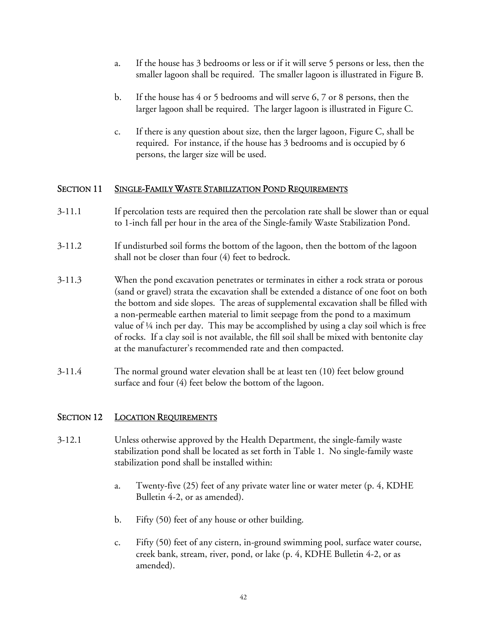- a. If the house has 3 bedrooms or less or if it will serve 5 persons or less, then the smaller lagoon shall be required. The smaller lagoon is illustrated in Figure B.
- b. If the house has 4 or 5 bedrooms and will serve 6, 7 or 8 persons, then the larger lagoon shall be required. The larger lagoon is illustrated in Figure C.
- c. If there is any question about size, then the larger lagoon, Figure C, shall be required. For instance, if the house has 3 bedrooms and is occupied by 6 persons, the larger size will be used.

#### SECTION 11 SINGLE-FAMILY WASTE STABILIZATION POND REQUIREMENTS

- 3-11.1 If percolation tests are required then the percolation rate shall be slower than or equal to 1-inch fall per hour in the area of the Single-family Waste Stabilization Pond.
- 3-11.2 If undisturbed soil forms the bottom of the lagoon, then the bottom of the lagoon shall not be closer than four (4) feet to bedrock.
- 3-11.3 When the pond excavation penetrates or terminates in either a rock strata or porous (sand or gravel) strata the excavation shall be extended a distance of one foot on both the bottom and side slopes. The areas of supplemental excavation shall be filled with a non-permeable earthen material to limit seepage from the pond to a maximum value of  $\frac{1}{4}$  inch per day. This may be accomplished by using a clay soil which is free of rocks. If a clay soil is not available, the fill soil shall be mixed with bentonite clay at the manufacturer's recommended rate and then compacted.
- 3-11.4 The normal ground water elevation shall be at least ten (10) feet below ground surface and four (4) feet below the bottom of the lagoon.

## SECTION 12 LOCATION REQUIREMENTS

- 3-12.1 Unless otherwise approved by the Health Department, the single-family waste stabilization pond shall be located as set forth in Table 1. No single-family waste stabilization pond shall be installed within:
	- a. Twenty-five (25) feet of any private water line or water meter (p. 4, KDHE Bulletin 4-2, or as amended).
	- b. Fifty (50) feet of any house or other building.
	- c. Fifty (50) feet of any cistern, in-ground swimming pool, surface water course, creek bank, stream, river, pond, or lake (p. 4, KDHE Bulletin 4-2, or as amended).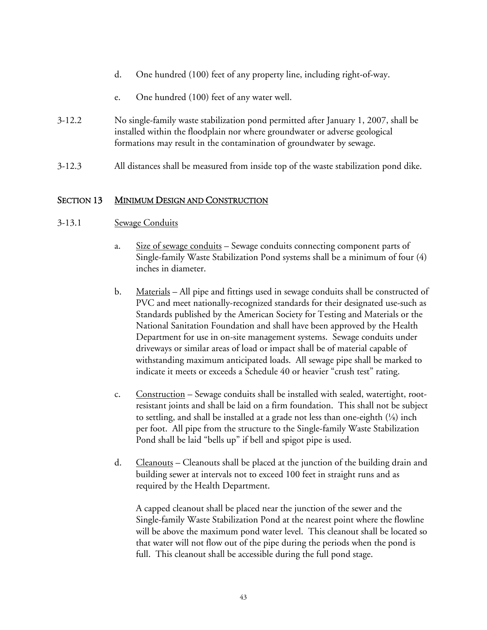- d. One hundred (100) feet of any property line, including right-of-way.
- e. One hundred (100) feet of any water well.
- 3-12.2 No single-family waste stabilization pond permitted after January 1, 2007, shall be installed within the floodplain nor where groundwater or adverse geological formations may result in the contamination of groundwater by sewage.
- 3-12.3 All distances shall be measured from inside top of the waste stabilization pond dike.

#### SECTION 13 MINIMUM DESIGN AND CONSTRUCTION

- 3-13.1 Sewage Conduits
	- a. Size of sewage conduits Sewage conduits connecting component parts of Single-family Waste Stabilization Pond systems shall be a minimum of four (4) inches in diameter.
	- b. Materials All pipe and fittings used in sewage conduits shall be constructed of PVC and meet nationally-recognized standards for their designated use-such as Standards published by the American Society for Testing and Materials or the National Sanitation Foundation and shall have been approved by the Health Department for use in on-site management systems. Sewage conduits under driveways or similar areas of load or impact shall be of material capable of withstanding maximum anticipated loads. All sewage pipe shall be marked to indicate it meets or exceeds a Schedule 40 or heavier "crush test" rating.
	- c. Construction Sewage conduits shall be installed with sealed, watertight, rootresistant joints and shall be laid on a firm foundation. This shall not be subject to settling, and shall be installed at a grade not less than one-eighth  $(\frac{1}{8})$  inch per foot. All pipe from the structure to the Single-family Waste Stabilization Pond shall be laid "bells up" if bell and spigot pipe is used.
	- d. Cleanouts Cleanouts shall be placed at the junction of the building drain and building sewer at intervals not to exceed 100 feet in straight runs and as required by the Health Department.

A capped cleanout shall be placed near the junction of the sewer and the Single-family Waste Stabilization Pond at the nearest point where the flowline will be above the maximum pond water level. This cleanout shall be located so that water will not flow out of the pipe during the periods when the pond is full. This cleanout shall be accessible during the full pond stage.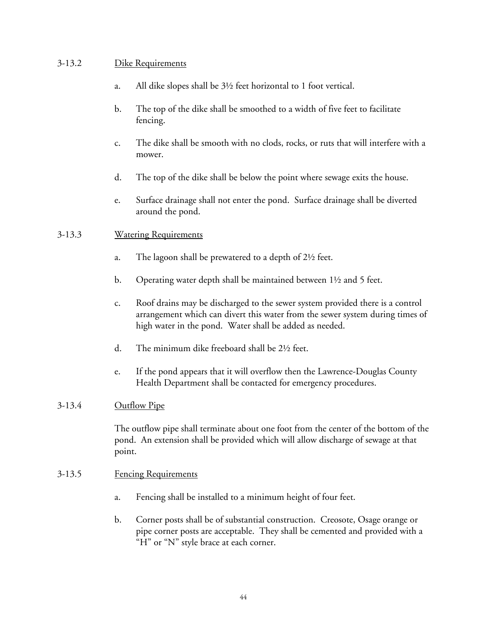#### 3-13.2 Dike Requirements

- a. All dike slopes shall be 3½ feet horizontal to 1 foot vertical.
- b. The top of the dike shall be smoothed to a width of five feet to facilitate fencing.
- c. The dike shall be smooth with no clods, rocks, or ruts that will interfere with a mower.
- d. The top of the dike shall be below the point where sewage exits the house.
- e. Surface drainage shall not enter the pond. Surface drainage shall be diverted around the pond.

#### 3-13.3 Watering Requirements

- a. The lagoon shall be prewatered to a depth of 2½ feet.
- b. Operating water depth shall be maintained between 1½ and 5 feet.
- c. Roof drains may be discharged to the sewer system provided there is a control arrangement which can divert this water from the sewer system during times of high water in the pond. Water shall be added as needed.
- d. The minimum dike freeboard shall be 2½ feet.
- e. If the pond appears that it will overflow then the Lawrence-Douglas County Health Department shall be contacted for emergency procedures.

#### 3-13.4 Outflow Pipe

The outflow pipe shall terminate about one foot from the center of the bottom of the pond. An extension shall be provided which will allow discharge of sewage at that point.

#### 3-13.5 Fencing Requirements

- a. Fencing shall be installed to a minimum height of four feet.
- b. Corner posts shall be of substantial construction. Creosote, Osage orange or pipe corner posts are acceptable. They shall be cemented and provided with a "H" or "N" style brace at each corner.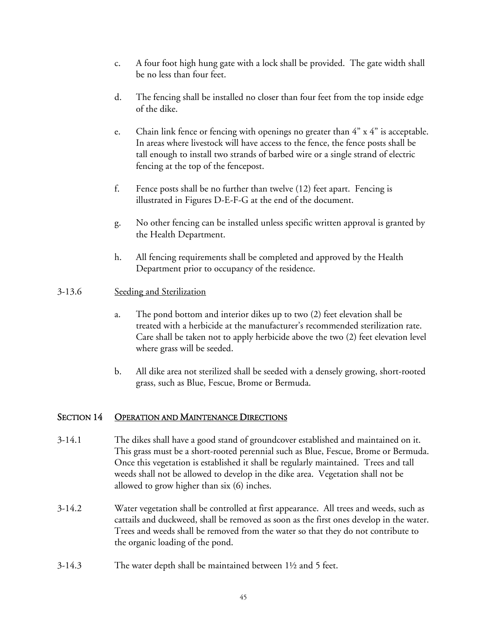- c. A four foot high hung gate with a lock shall be provided. The gate width shall be no less than four feet.
- d. The fencing shall be installed no closer than four feet from the top inside edge of the dike.
- e. Chain link fence or fencing with openings no greater than  $4" \times 4"$  is acceptable. In areas where livestock will have access to the fence, the fence posts shall be tall enough to install two strands of barbed wire or a single strand of electric fencing at the top of the fencepost.
- f. Fence posts shall be no further than twelve (12) feet apart. Fencing is illustrated in Figures D-E-F-G at the end of the document.
- g. No other fencing can be installed unless specific written approval is granted by the Health Department.
- h. All fencing requirements shall be completed and approved by the Health Department prior to occupancy of the residence.

#### 3-13.6 Seeding and Sterilization

- a. The pond bottom and interior dikes up to two (2) feet elevation shall be treated with a herbicide at the manufacturer's recommended sterilization rate. Care shall be taken not to apply herbicide above the two (2) feet elevation level where grass will be seeded.
- b. All dike area not sterilized shall be seeded with a densely growing, short-rooted grass, such as Blue, Fescue, Brome or Bermuda.

## SECTION 14 OPERATION AND MAINTENANCE DIRECTIONS

- 3-14.1 The dikes shall have a good stand of groundcover established and maintained on it. This grass must be a short-rooted perennial such as Blue, Fescue, Brome or Bermuda. Once this vegetation is established it shall be regularly maintained. Trees and tall weeds shall not be allowed to develop in the dike area. Vegetation shall not be allowed to grow higher than six (6) inches.
- 3-14.2 Water vegetation shall be controlled at first appearance. All trees and weeds, such as cattails and duckweed, shall be removed as soon as the first ones develop in the water. Trees and weeds shall be removed from the water so that they do not contribute to the organic loading of the pond.
- 3-14.3 The water depth shall be maintained between 1½ and 5 feet.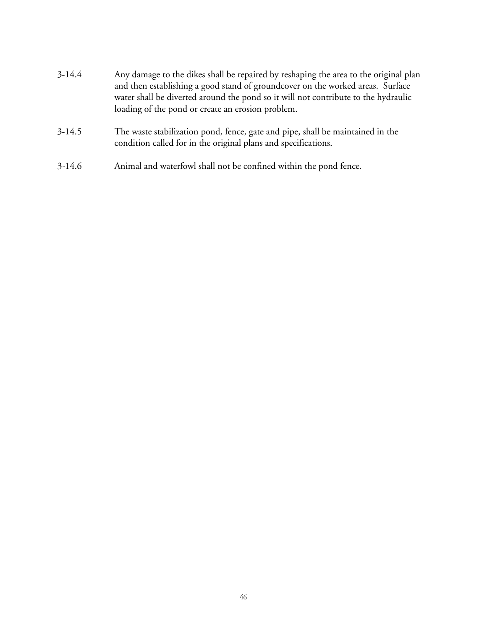- 3-14.4 Any damage to the dikes shall be repaired by reshaping the area to the original plan and then establishing a good stand of groundcover on the worked areas. Surface water shall be diverted around the pond so it will not contribute to the hydraulic loading of the pond or create an erosion problem.
- 3-14.5 The waste stabilization pond, fence, gate and pipe, shall be maintained in the condition called for in the original plans and specifications.
- 3-14.6 Animal and waterfowl shall not be confined within the pond fence.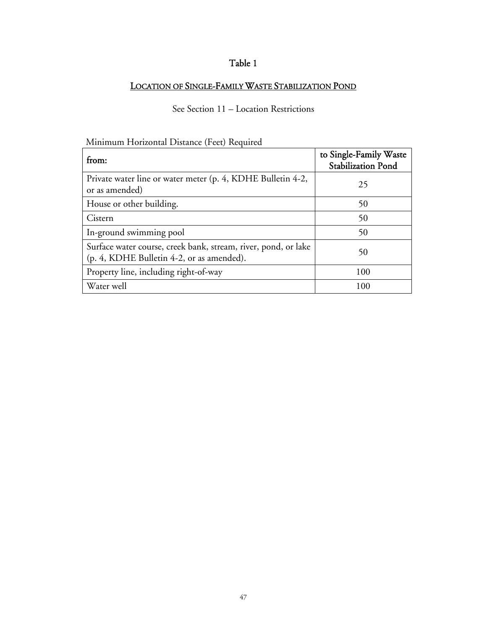# Table 1

#### LOCATION OF SINGLE-FAMILY WASTE STABILIZATION POND

# See Section 11 – Location Restrictions

# Minimum Horizontal Distance (Feet) Required

| from:                                                                                                       | to Single-Family Waste<br><b>Stabilization Pond</b> |
|-------------------------------------------------------------------------------------------------------------|-----------------------------------------------------|
| Private water line or water meter (p. 4, KDHE Bulletin 4-2,<br>or as amended)                               | 25                                                  |
| House or other building.                                                                                    | 50                                                  |
| Cistern                                                                                                     | 50                                                  |
| In-ground swimming pool                                                                                     | 50                                                  |
| Surface water course, creek bank, stream, river, pond, or lake<br>(p. 4, KDHE Bulletin 4-2, or as amended). | 50                                                  |
| Property line, including right-of-way                                                                       | 100                                                 |
| Water well                                                                                                  | 100                                                 |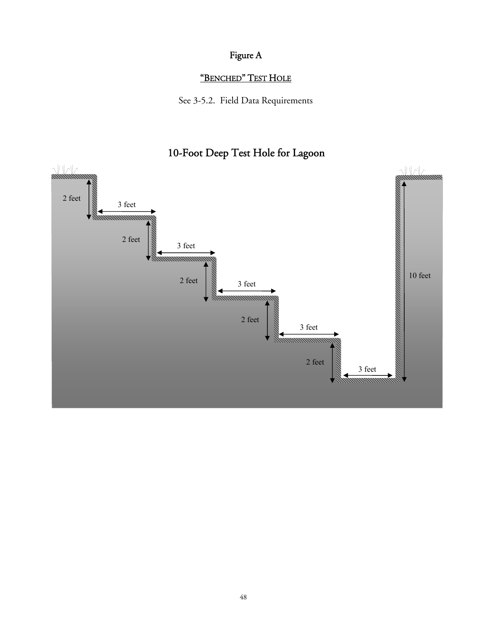# Figure A

# "BENCHED" TEST HOLE

See 3-5.2. Field Data Requirements

# 10-Foot Deep Test Hole for Lagoon

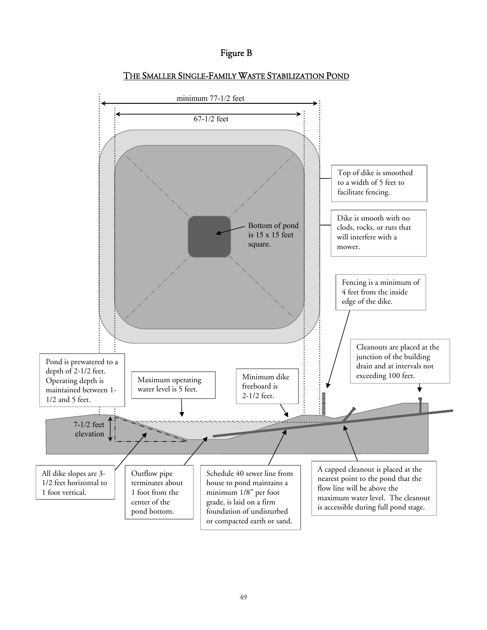#### Figure B



#### THE SMALLER SINGLE-FAMILY WASTE STABILIZATION POND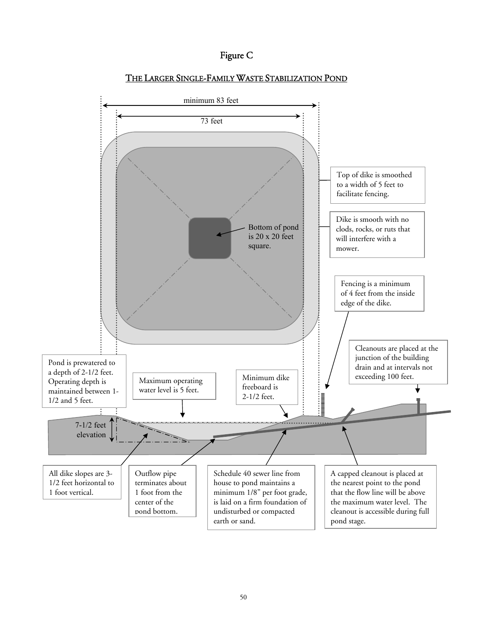



#### THE LARGER SINGLE-FAMILY WASTE STABILIZATION POND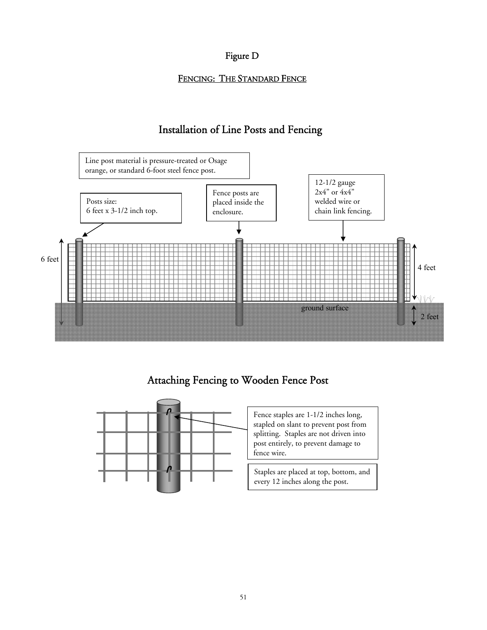## Figure D

## FENCING: THE STANDARD FENCE

# Installation of Line Posts and Fencing



# Attaching Fencing to Wooden Fence Post



Fence staples are 1-1/2 inches long, stapled on slant to prevent post from splitting. Staples are not driven into post entirely, to prevent damage to fence wire.

Staples are placed at top, bottom, and every 12 inches along the post.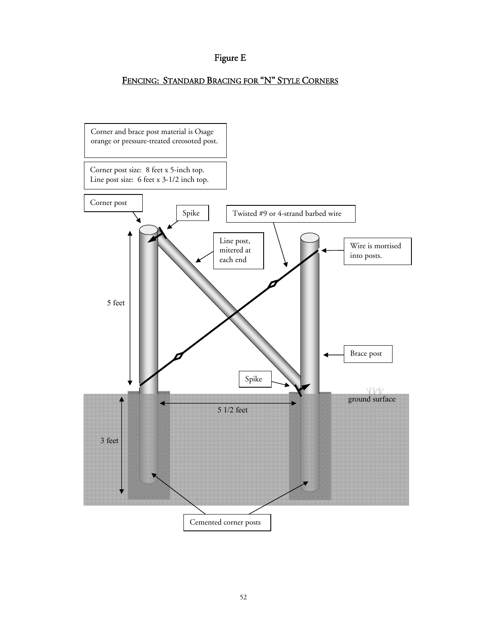# Figure E

# FENCING: STANDARD BRACING FOR "N" STYLE CORNERS

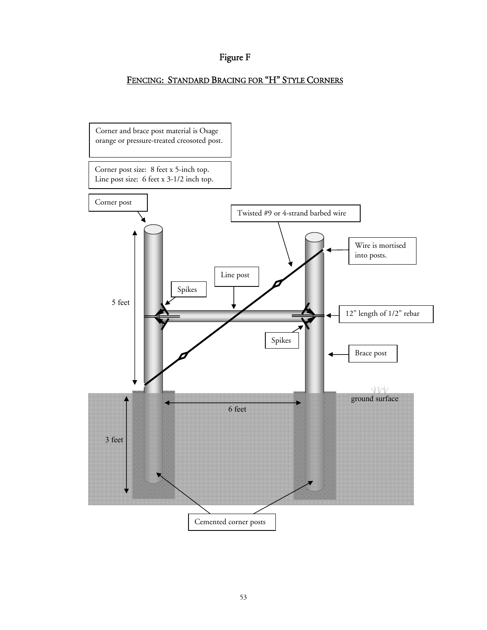# Figure F

# FENCING: STANDARD BRACING FOR "H" STYLE CORNERS

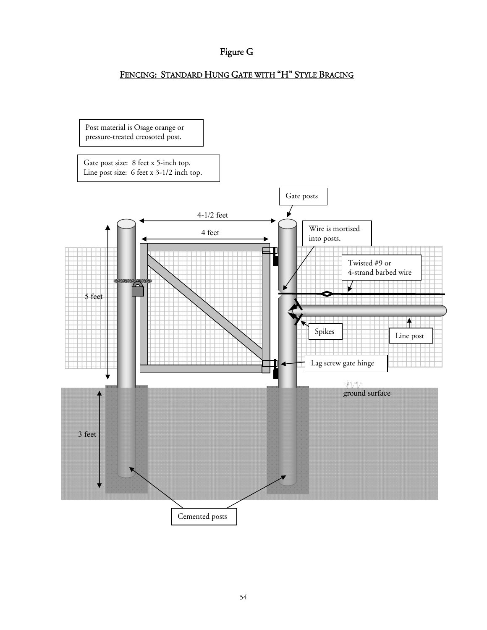# Figure G

## FENCING: STANDARD HUNG GATE WITH "H" STYLE BRACING

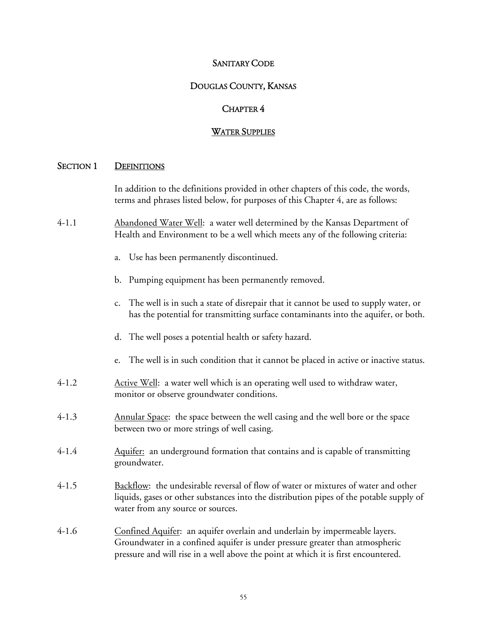#### SANITARY CODE

#### DOUGLAS COUNTY, KANSAS

#### CHAPTER 4

#### WATER SUPPLIES

#### SECTION 1 DEFINITIONS

In addition to the definitions provided in other chapters of this code, the words, terms and phrases listed below, for purposes of this Chapter 4, are as follows:

- 4-1.1 Abandoned Water Well: a water well determined by the Kansas Department of Health and Environment to be a well which meets any of the following criteria:
	- a. Use has been permanently discontinued.
	- b. Pumping equipment has been permanently removed.
	- c. The well is in such a state of disrepair that it cannot be used to supply water, or has the potential for transmitting surface contaminants into the aquifer, or both.
	- d. The well poses a potential health or safety hazard.
	- e. The well is in such condition that it cannot be placed in active or inactive status.
- 4-1.2 Active Well: a water well which is an operating well used to withdraw water, monitor or observe groundwater conditions.
- 4-1.3 Annular Space: the space between the well casing and the well bore or the space between two or more strings of well casing.
- 4-1.4 Aquifer: an underground formation that contains and is capable of transmitting groundwater.
- 4-1.5 Backflow: the undesirable reversal of flow of water or mixtures of water and other liquids, gases or other substances into the distribution pipes of the potable supply of water from any source or sources.
- 4-1.6 Confined Aquifer: an aquifer overlain and underlain by impermeable layers. Groundwater in a confined aquifer is under pressure greater than atmospheric pressure and will rise in a well above the point at which it is first encountered.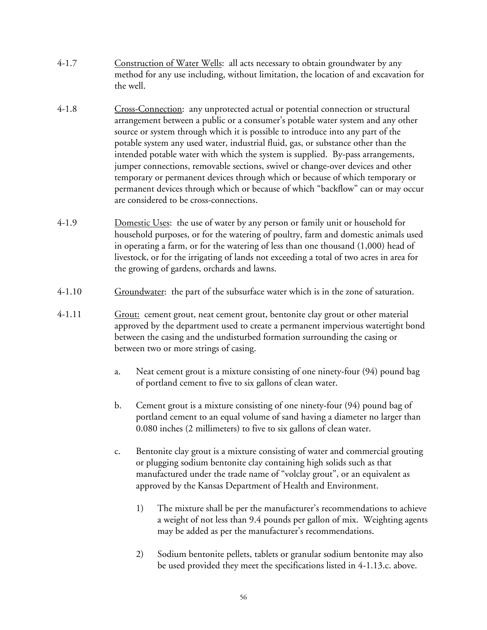- 4-1.7 Construction of Water Wells: all acts necessary to obtain groundwater by any method for any use including, without limitation, the location of and excavation for the well.
- 4-1.8 Cross-Connection: any unprotected actual or potential connection or structural arrangement between a public or a consumer's potable water system and any other source or system through which it is possible to introduce into any part of the potable system any used water, industrial fluid, gas, or substance other than the intended potable water with which the system is supplied. By-pass arrangements, jumper connections, removable sections, swivel or change-over devices and other temporary or permanent devices through which or because of which temporary or permanent devices through which or because of which "backflow" can or may occur are considered to be cross-connections.
- 4-1.9 Domestic Uses: the use of water by any person or family unit or household for household purposes, or for the watering of poultry, farm and domestic animals used in operating a farm, or for the watering of less than one thousand (1,000) head of livestock, or for the irrigating of lands not exceeding a total of two acres in area for the growing of gardens, orchards and lawns.
- 4-1.10 Groundwater: the part of the subsurface water which is in the zone of saturation.
- 4-1.11 Grout: cement grout, neat cement grout, bentonite clay grout or other material approved by the department used to create a permanent impervious watertight bond between the casing and the undisturbed formation surrounding the casing or between two or more strings of casing.
	- a. Neat cement grout is a mixture consisting of one ninety-four (94) pound bag of portland cement to five to six gallons of clean water.
	- b. Cement grout is a mixture consisting of one ninety-four (94) pound bag of portland cement to an equal volume of sand having a diameter no larger than 0.080 inches (2 millimeters) to five to six gallons of clean water.
	- c. Bentonite clay grout is a mixture consisting of water and commercial grouting or plugging sodium bentonite clay containing high solids such as that manufactured under the trade name of "volclay grout", or an equivalent as approved by the Kansas Department of Health and Environment.
		- 1) The mixture shall be per the manufacturer's recommendations to achieve a weight of not less than 9.4 pounds per gallon of mix. Weighting agents may be added as per the manufacturer's recommendations.
		- 2) Sodium bentonite pellets, tablets or granular sodium bentonite may also be used provided they meet the specifications listed in 4-1.13.c. above.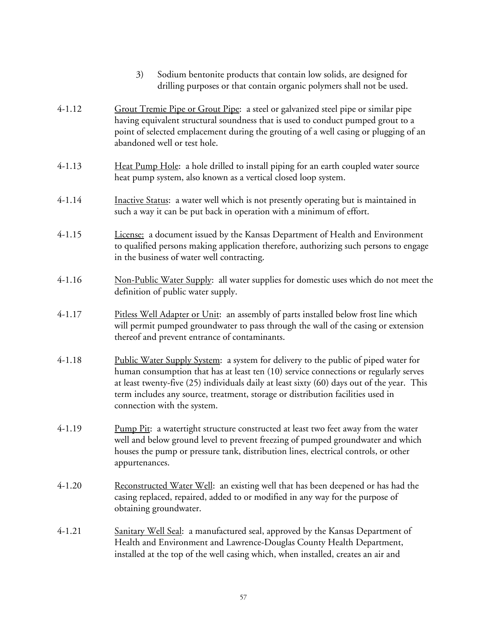- 3) Sodium bentonite products that contain low solids, are designed for drilling purposes or that contain organic polymers shall not be used.
- 4-1.12 Grout Tremie Pipe or Grout Pipe: a steel or galvanized steel pipe or similar pipe having equivalent structural soundness that is used to conduct pumped grout to a point of selected emplacement during the grouting of a well casing or plugging of an abandoned well or test hole.
- 4-1.13 Heat Pump Hole: a hole drilled to install piping for an earth coupled water source heat pump system, also known as a vertical closed loop system.
- 4-1.14 Inactive Status: a water well which is not presently operating but is maintained in such a way it can be put back in operation with a minimum of effort.
- 4-1.15 License: a document issued by the Kansas Department of Health and Environment to qualified persons making application therefore, authorizing such persons to engage in the business of water well contracting.
- 4-1.16 Non-Public Water Supply: all water supplies for domestic uses which do not meet the definition of public water supply.
- 4-1.17 Pitless Well Adapter or Unit: an assembly of parts installed below frost line which will permit pumped groundwater to pass through the wall of the casing or extension thereof and prevent entrance of contaminants.
- 4-1.18 Public Water Supply System: a system for delivery to the public of piped water for human consumption that has at least ten (10) service connections or regularly serves at least twenty-five (25) individuals daily at least sixty (60) days out of the year. This term includes any source, treatment, storage or distribution facilities used in connection with the system.
- 4-1.19 Pump Pit: a watertight structure constructed at least two feet away from the water well and below ground level to prevent freezing of pumped groundwater and which houses the pump or pressure tank, distribution lines, electrical controls, or other appurtenances.
- 4-1.20 Reconstructed Water Well: an existing well that has been deepened or has had the casing replaced, repaired, added to or modified in any way for the purpose of obtaining groundwater.
- 4-1.21 Sanitary Well Seal: a manufactured seal, approved by the Kansas Department of Health and Environment and Lawrence-Douglas County Health Department, installed at the top of the well casing which, when installed, creates an air and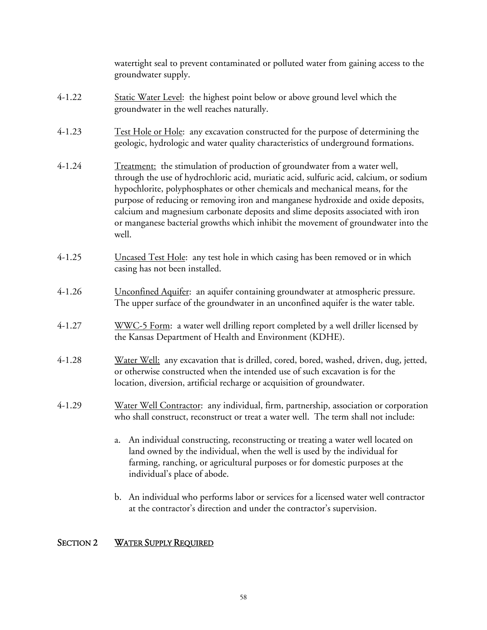watertight seal to prevent contaminated or polluted water from gaining access to the groundwater supply.

- 4-1.22 Static Water Level: the highest point below or above ground level which the groundwater in the well reaches naturally.
- 4-1.23 Test Hole or Hole: any excavation constructed for the purpose of determining the geologic, hydrologic and water quality characteristics of underground formations.
- 4-1.24 Treatment: the stimulation of production of groundwater from a water well, through the use of hydrochloric acid, muriatic acid, sulfuric acid, calcium, or sodium hypochlorite, polyphosphates or other chemicals and mechanical means, for the purpose of reducing or removing iron and manganese hydroxide and oxide deposits, calcium and magnesium carbonate deposits and slime deposits associated with iron or manganese bacterial growths which inhibit the movement of groundwater into the well.
- 4-1.25 Uncased Test Hole: any test hole in which casing has been removed or in which casing has not been installed.
- 4-1.26 Unconfined Aquifer: an aquifer containing groundwater at atmospheric pressure. The upper surface of the groundwater in an unconfined aquifer is the water table.
- 4-1.27 WWC-5 Form: a water well drilling report completed by a well driller licensed by the Kansas Department of Health and Environment (KDHE).
- 4-1.28 Water Well: any excavation that is drilled, cored, bored, washed, driven, dug, jetted, or otherwise constructed when the intended use of such excavation is for the location, diversion, artificial recharge or acquisition of groundwater.
- 4-1.29 Water Well Contractor: any individual, firm, partnership, association or corporation who shall construct, reconstruct or treat a water well. The term shall not include:
	- a. An individual constructing, reconstructing or treating a water well located on land owned by the individual, when the well is used by the individual for farming, ranching, or agricultural purposes or for domestic purposes at the individual's place of abode.
	- b. An individual who performs labor or services for a licensed water well contractor at the contractor's direction and under the contractor's supervision.

## SECTION 2 WATER SUPPLY REQUIRED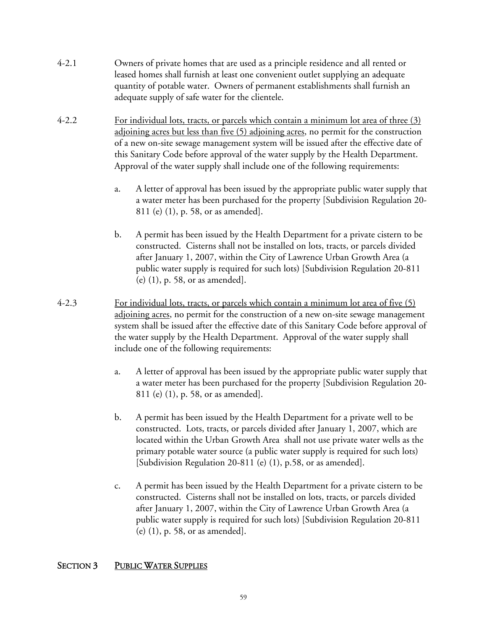- 4-2.1 Owners of private homes that are used as a principle residence and all rented or leased homes shall furnish at least one convenient outlet supplying an adequate quantity of potable water. Owners of permanent establishments shall furnish an adequate supply of safe water for the clientele.
- 4-2.2 For individual lots, tracts, or parcels which contain a minimum lot area of three (3) adjoining acres but less than five (5) adjoining acres, no permit for the construction of a new on-site sewage management system will be issued after the effective date of this Sanitary Code before approval of the water supply by the Health Department. Approval of the water supply shall include one of the following requirements:
	- a. A letter of approval has been issued by the appropriate public water supply that a water meter has been purchased for the property [Subdivision Regulation 20- 811 (e) (1), p. 58, or as amended].
	- b. A permit has been issued by the Health Department for a private cistern to be constructed. Cisterns shall not be installed on lots, tracts, or parcels divided after January 1, 2007, within the City of Lawrence Urban Growth Area (a public water supply is required for such lots) [Subdivision Regulation 20-811 (e) (1), p. 58, or as amended].
- 4-2.3 For individual lots, tracts, or parcels which contain a minimum lot area of five (5) adjoining acres, no permit for the construction of a new on-site sewage management system shall be issued after the effective date of this Sanitary Code before approval of the water supply by the Health Department. Approval of the water supply shall include one of the following requirements:
	- a. A letter of approval has been issued by the appropriate public water supply that a water meter has been purchased for the property [Subdivision Regulation 20- 811 (e) (1), p. 58, or as amended].
	- b. A permit has been issued by the Health Department for a private well to be constructed. Lots, tracts, or parcels divided after January 1, 2007, which are located within the Urban Growth Area shall not use private water wells as the primary potable water source (a public water supply is required for such lots) [Subdivision Regulation 20-811 (e) (1), p.58, or as amended].
	- c. A permit has been issued by the Health Department for a private cistern to be constructed. Cisterns shall not be installed on lots, tracts, or parcels divided after January 1, 2007, within the City of Lawrence Urban Growth Area (a public water supply is required for such lots) [Subdivision Regulation 20-811 (e) (1), p. 58, or as amended].

## SECTION 3 PUBLIC WATER SUPPLIES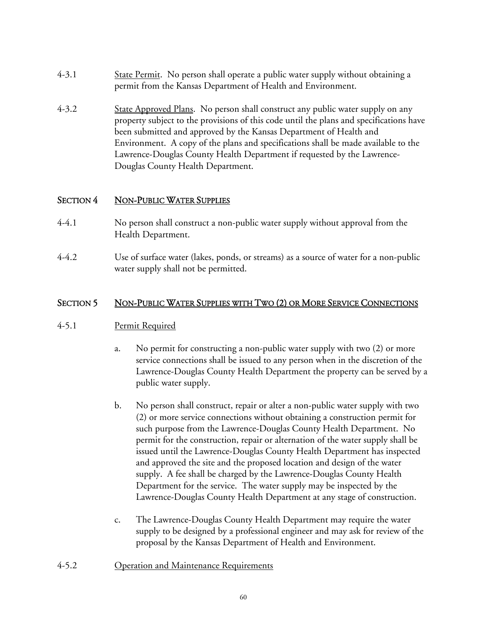- 4-3.1 State Permit. No person shall operate a public water supply without obtaining a permit from the Kansas Department of Health and Environment.
- 4-3.2 State Approved Plans. No person shall construct any public water supply on any property subject to the provisions of this code until the plans and specifications have been submitted and approved by the Kansas Department of Health and Environment. A copy of the plans and specifications shall be made available to the Lawrence-Douglas County Health Department if requested by the Lawrence-Douglas County Health Department.

#### SECTION 4 NON-PUBLIC WATER SUPPLIES

- 4-4.1 No person shall construct a non-public water supply without approval from the Health Department.
- 4-4.2 Use of surface water (lakes, ponds, or streams) as a source of water for a non-public water supply shall not be permitted.

#### SECTION 5 NON-PUBLIC WATER SUPPLIES WITH TWO (2) OR MORE SERVICE CONNECTIONS

#### 4-5.1 Permit Required

- a. No permit for constructing a non-public water supply with two (2) or more service connections shall be issued to any person when in the discretion of the Lawrence-Douglas County Health Department the property can be served by a public water supply.
- b. No person shall construct, repair or alter a non-public water supply with two (2) or more service connections without obtaining a construction permit for such purpose from the Lawrence-Douglas County Health Department. No permit for the construction, repair or alternation of the water supply shall be issued until the Lawrence-Douglas County Health Department has inspected and approved the site and the proposed location and design of the water supply. A fee shall be charged by the Lawrence-Douglas County Health Department for the service. The water supply may be inspected by the Lawrence-Douglas County Health Department at any stage of construction.
- c. The Lawrence-Douglas County Health Department may require the water supply to be designed by a professional engineer and may ask for review of the proposal by the Kansas Department of Health and Environment.
- 4-5.2 Operation and Maintenance Requirements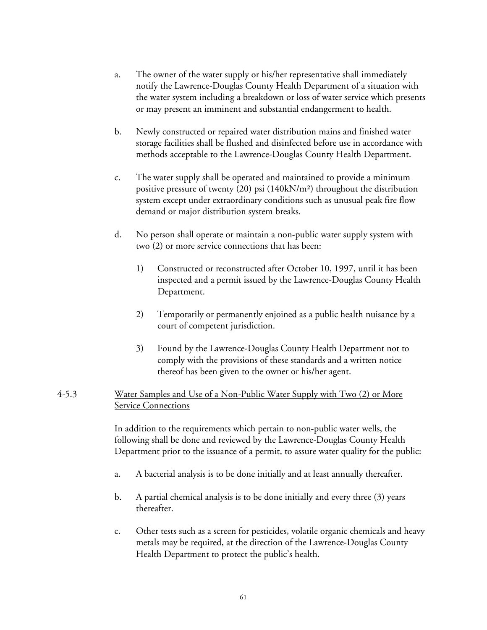- a. The owner of the water supply or his/her representative shall immediately notify the Lawrence-Douglas County Health Department of a situation with the water system including a breakdown or loss of water service which presents or may present an imminent and substantial endangerment to health.
- b. Newly constructed or repaired water distribution mains and finished water storage facilities shall be flushed and disinfected before use in accordance with methods acceptable to the Lawrence-Douglas County Health Department.
- c. The water supply shall be operated and maintained to provide a minimum positive pressure of twenty (20) psi (140kN/m²) throughout the distribution system except under extraordinary conditions such as unusual peak fire flow demand or major distribution system breaks.
- d. No person shall operate or maintain a non-public water supply system with two (2) or more service connections that has been:
	- 1) Constructed or reconstructed after October 10, 1997, until it has been inspected and a permit issued by the Lawrence-Douglas County Health Department.
	- 2) Temporarily or permanently enjoined as a public health nuisance by a court of competent jurisdiction.
	- 3) Found by the Lawrence-Douglas County Health Department not to comply with the provisions of these standards and a written notice thereof has been given to the owner or his/her agent.

#### 4-5.3 Water Samples and Use of a Non-Public Water Supply with Two (2) or More Service Connections

 In addition to the requirements which pertain to non-public water wells, the following shall be done and reviewed by the Lawrence-Douglas County Health Department prior to the issuance of a permit, to assure water quality for the public:

- a. A bacterial analysis is to be done initially and at least annually thereafter.
- b. A partial chemical analysis is to be done initially and every three (3) years thereafter.
- c. Other tests such as a screen for pesticides, volatile organic chemicals and heavy metals may be required, at the direction of the Lawrence-Douglas County Health Department to protect the public's health.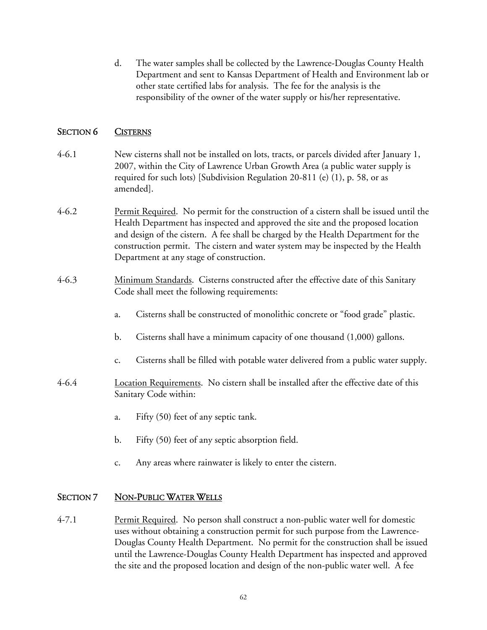d. The water samples shall be collected by the Lawrence-Douglas County Health Department and sent to Kansas Department of Health and Environment lab or other state certified labs for analysis. The fee for the analysis is the responsibility of the owner of the water supply or his/her representative.

# SECTION 6 CISTERNS

- 4-6.1 New cisterns shall not be installed on lots, tracts, or parcels divided after January 1, 2007, within the City of Lawrence Urban Growth Area (a public water supply is required for such lots) [Subdivision Regulation 20-811 (e) (1), p. 58, or as amended].
- 4-6.2 Permit Required. No permit for the construction of a cistern shall be issued until the Health Department has inspected and approved the site and the proposed location and design of the cistern. A fee shall be charged by the Health Department for the construction permit. The cistern and water system may be inspected by the Health Department at any stage of construction.
- 4-6.3 Minimum Standards. Cisterns constructed after the effective date of this Sanitary Code shall meet the following requirements:
	- a. Cisterns shall be constructed of monolithic concrete or "food grade" plastic.
	- b. Cisterns shall have a minimum capacity of one thousand (1,000) gallons.
	- c. Cisterns shall be filled with potable water delivered from a public water supply.
- 4-6.4 Location Requirements. No cistern shall be installed after the effective date of this Sanitary Code within:
	- a. Fifty (50) feet of any septic tank.
	- b. Fifty (50) feet of any septic absorption field.
	- c. Any areas where rainwater is likely to enter the cistern.

## SECTION 7 NON-PUBLIC WATER WELLS

4-7.1 Permit Required. No person shall construct a non-public water well for domestic uses without obtaining a construction permit for such purpose from the Lawrence-Douglas County Health Department. No permit for the construction shall be issued until the Lawrence-Douglas County Health Department has inspected and approved the site and the proposed location and design of the non-public water well. A fee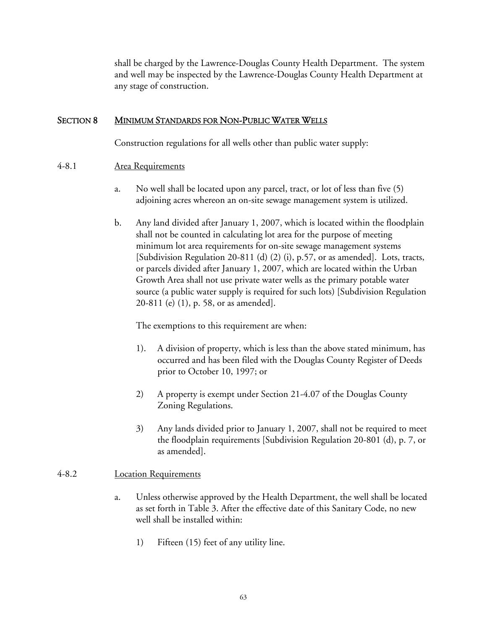shall be charged by the Lawrence-Douglas County Health Department. The system and well may be inspected by the Lawrence-Douglas County Health Department at any stage of construction.

#### SECTION 8 MINIMUM STANDARDS FOR NON-PUBLIC WATER WELLS

Construction regulations for all wells other than public water supply:

#### 4-8.1 Area Requirements

- a. No well shall be located upon any parcel, tract, or lot of less than five (5) adjoining acres whereon an on-site sewage management system is utilized.
- b. Any land divided after January 1, 2007, which is located within the floodplain shall not be counted in calculating lot area for the purpose of meeting minimum lot area requirements for on-site sewage management systems [Subdivision Regulation 20-811 (d) (2) (i), p.57, or as amended]. Lots, tracts, or parcels divided after January 1, 2007, which are located within the Urban Growth Area shall not use private water wells as the primary potable water source (a public water supply is required for such lots) [Subdivision Regulation 20-811 (e) (1), p. 58, or as amended].

The exemptions to this requirement are when:

- 1). A division of property, which is less than the above stated minimum, has occurred and has been filed with the Douglas County Register of Deeds prior to October 10, 1997; or
- 2) A property is exempt under Section 21-4.07 of the Douglas County Zoning Regulations.
- 3) Any lands divided prior to January 1, 2007, shall not be required to meet the floodplain requirements [Subdivision Regulation 20-801 (d), p. 7, or as amended].

## 4-8.2 Location Requirements

- a. Unless otherwise approved by the Health Department, the well shall be located as set forth in Table 3. After the effective date of this Sanitary Code, no new well shall be installed within:
	- 1) Fifteen (15) feet of any utility line.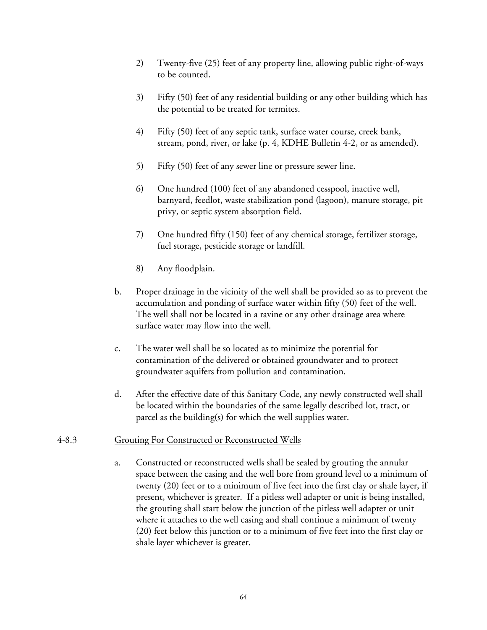- 2) Twenty-five (25) feet of any property line, allowing public right-of-ways to be counted.
- 3) Fifty (50) feet of any residential building or any other building which has the potential to be treated for termites.
- 4) Fifty (50) feet of any septic tank, surface water course, creek bank, stream, pond, river, or lake (p. 4, KDHE Bulletin 4-2, or as amended).
- 5) Fifty (50) feet of any sewer line or pressure sewer line.
- 6) One hundred (100) feet of any abandoned cesspool, inactive well, barnyard, feedlot, waste stabilization pond (lagoon), manure storage, pit privy, or septic system absorption field.
- 7) One hundred fifty (150) feet of any chemical storage, fertilizer storage, fuel storage, pesticide storage or landfill.
- 8) Any floodplain.
- b. Proper drainage in the vicinity of the well shall be provided so as to prevent the accumulation and ponding of surface water within fifty (50) feet of the well. The well shall not be located in a ravine or any other drainage area where surface water may flow into the well.
- c. The water well shall be so located as to minimize the potential for contamination of the delivered or obtained groundwater and to protect groundwater aquifers from pollution and contamination.
- d. After the effective date of this Sanitary Code, any newly constructed well shall be located within the boundaries of the same legally described lot, tract, or parcel as the building(s) for which the well supplies water.

#### 4-8.3 Grouting For Constructed or Reconstructed Wells

a. Constructed or reconstructed wells shall be sealed by grouting the annular space between the casing and the well bore from ground level to a minimum of twenty (20) feet or to a minimum of five feet into the first clay or shale layer, if present, whichever is greater. If a pitless well adapter or unit is being installed, the grouting shall start below the junction of the pitless well adapter or unit where it attaches to the well casing and shall continue a minimum of twenty (20) feet below this junction or to a minimum of five feet into the first clay or shale layer whichever is greater.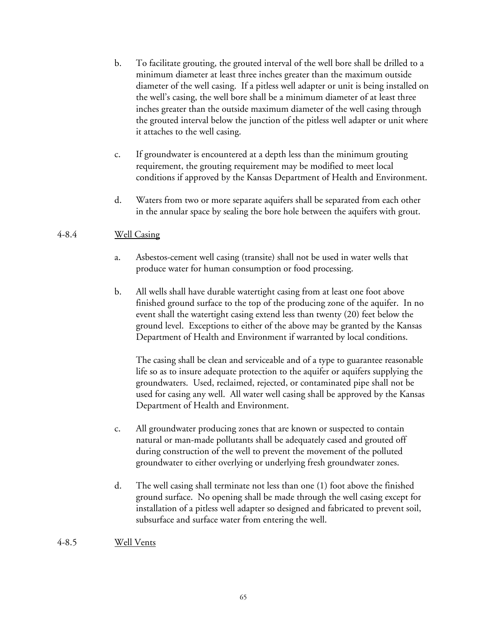- b. To facilitate grouting, the grouted interval of the well bore shall be drilled to a minimum diameter at least three inches greater than the maximum outside diameter of the well casing. If a pitless well adapter or unit is being installed on the well's casing, the well bore shall be a minimum diameter of at least three inches greater than the outside maximum diameter of the well casing through the grouted interval below the junction of the pitless well adapter or unit where it attaches to the well casing.
- c. If groundwater is encountered at a depth less than the minimum grouting requirement, the grouting requirement may be modified to meet local conditions if approved by the Kansas Department of Health and Environment.
- d. Waters from two or more separate aquifers shall be separated from each other in the annular space by sealing the bore hole between the aquifers with grout.

# 4-8.4 Well Casing

- a. Asbestos-cement well casing (transite) shall not be used in water wells that produce water for human consumption or food processing.
- b. All wells shall have durable watertight casing from at least one foot above finished ground surface to the top of the producing zone of the aquifer. In no event shall the watertight casing extend less than twenty (20) feet below the ground level. Exceptions to either of the above may be granted by the Kansas Department of Health and Environment if warranted by local conditions.

 The casing shall be clean and serviceable and of a type to guarantee reasonable life so as to insure adequate protection to the aquifer or aquifers supplying the groundwaters. Used, reclaimed, rejected, or contaminated pipe shall not be used for casing any well. All water well casing shall be approved by the Kansas Department of Health and Environment.

- c. All groundwater producing zones that are known or suspected to contain natural or man-made pollutants shall be adequately cased and grouted off during construction of the well to prevent the movement of the polluted groundwater to either overlying or underlying fresh groundwater zones.
- d. The well casing shall terminate not less than one (1) foot above the finished ground surface. No opening shall be made through the well casing except for installation of a pitless well adapter so designed and fabricated to prevent soil, subsurface and surface water from entering the well.
- 4-8.5 Well Vents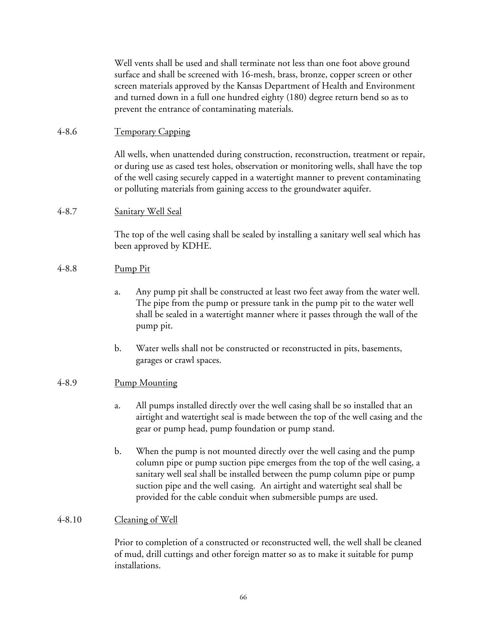Well vents shall be used and shall terminate not less than one foot above ground surface and shall be screened with 16-mesh, brass, bronze, copper screen or other screen materials approved by the Kansas Department of Health and Environment and turned down in a full one hundred eighty (180) degree return bend so as to prevent the entrance of contaminating materials.

## 4-8.6 Temporary Capping

All wells, when unattended during construction, reconstruction, treatment or repair, or during use as cased test holes, observation or monitoring wells, shall have the top of the well casing securely capped in a watertight manner to prevent contaminating or polluting materials from gaining access to the groundwater aquifer.

## 4-8.7 Sanitary Well Seal

The top of the well casing shall be sealed by installing a sanitary well seal which has been approved by KDHE.

#### 4-8.8 Pump Pit

- a. Any pump pit shall be constructed at least two feet away from the water well. The pipe from the pump or pressure tank in the pump pit to the water well shall be sealed in a watertight manner where it passes through the wall of the pump pit.
- b. Water wells shall not be constructed or reconstructed in pits, basements, garages or crawl spaces.

#### 4-8.9 Pump Mounting

- a. All pumps installed directly over the well casing shall be so installed that an airtight and watertight seal is made between the top of the well casing and the gear or pump head, pump foundation or pump stand.
- b. When the pump is not mounted directly over the well casing and the pump column pipe or pump suction pipe emerges from the top of the well casing, a sanitary well seal shall be installed between the pump column pipe or pump suction pipe and the well casing. An airtight and watertight seal shall be provided for the cable conduit when submersible pumps are used.

#### 4-8.10 Cleaning of Well

Prior to completion of a constructed or reconstructed well, the well shall be cleaned of mud, drill cuttings and other foreign matter so as to make it suitable for pump installations.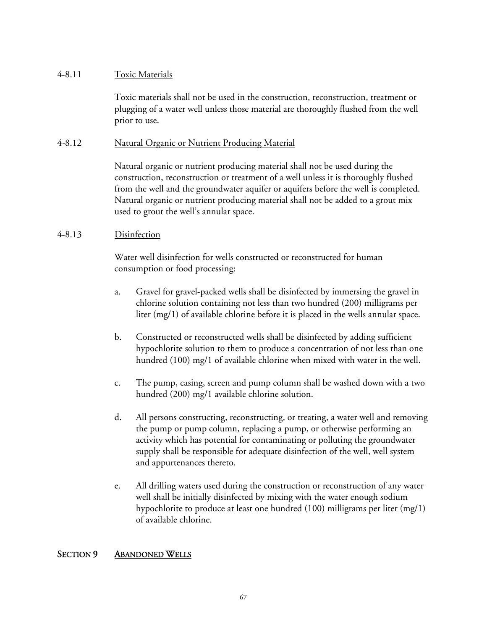## 4-8.11 Toxic Materials

Toxic materials shall not be used in the construction, reconstruction, treatment or plugging of a water well unless those material are thoroughly flushed from the well prior to use.

## 4-8.12 Natural Organic or Nutrient Producing Material

Natural organic or nutrient producing material shall not be used during the construction, reconstruction or treatment of a well unless it is thoroughly flushed from the well and the groundwater aquifer or aquifers before the well is completed. Natural organic or nutrient producing material shall not be added to a grout mix used to grout the well's annular space.

## 4-8.13 Disinfection

Water well disinfection for wells constructed or reconstructed for human consumption or food processing:

- a. Gravel for gravel-packed wells shall be disinfected by immersing the gravel in chlorine solution containing not less than two hundred (200) milligrams per liter (mg/1) of available chlorine before it is placed in the wells annular space.
- b. Constructed or reconstructed wells shall be disinfected by adding sufficient hypochlorite solution to them to produce a concentration of not less than one hundred (100) mg/1 of available chlorine when mixed with water in the well.
- c. The pump, casing, screen and pump column shall be washed down with a two hundred (200) mg/1 available chlorine solution.
- d. All persons constructing, reconstructing, or treating, a water well and removing the pump or pump column, replacing a pump, or otherwise performing an activity which has potential for contaminating or polluting the groundwater supply shall be responsible for adequate disinfection of the well, well system and appurtenances thereto.
- e. All drilling waters used during the construction or reconstruction of any water well shall be initially disinfected by mixing with the water enough sodium hypochlorite to produce at least one hundred (100) milligrams per liter (mg/1) of available chlorine.

#### SECTION 9 ABANDONED WELLS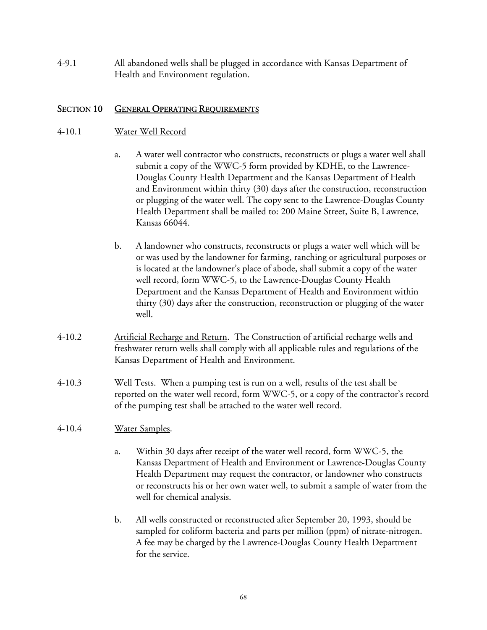4-9.1 All abandoned wells shall be plugged in accordance with Kansas Department of Health and Environment regulation.

## SECTION 10 GENERAL OPERATING REQUIREMENTS

#### 4-10.1 Water Well Record

- a. A water well contractor who constructs, reconstructs or plugs a water well shall submit a copy of the WWC-5 form provided by KDHE, to the Lawrence-Douglas County Health Department and the Kansas Department of Health and Environment within thirty (30) days after the construction, reconstruction or plugging of the water well. The copy sent to the Lawrence-Douglas County Health Department shall be mailed to: 200 Maine Street, Suite B, Lawrence, Kansas 66044.
- b. A landowner who constructs, reconstructs or plugs a water well which will be or was used by the landowner for farming, ranching or agricultural purposes or is located at the landowner's place of abode, shall submit a copy of the water well record, form WWC-5, to the Lawrence-Douglas County Health Department and the Kansas Department of Health and Environment within thirty (30) days after the construction, reconstruction or plugging of the water well.
- 4-10.2 Artificial Recharge and Return. The Construction of artificial recharge wells and freshwater return wells shall comply with all applicable rules and regulations of the Kansas Department of Health and Environment.
- 4-10.3 Well Tests. When a pumping test is run on a well, results of the test shall be reported on the water well record, form WWC-5, or a copy of the contractor's record of the pumping test shall be attached to the water well record.

#### 4-10.4 Water Samples.

- a. Within 30 days after receipt of the water well record, form WWC-5, the Kansas Department of Health and Environment or Lawrence-Douglas County Health Department may request the contractor, or landowner who constructs or reconstructs his or her own water well, to submit a sample of water from the well for chemical analysis.
- b. All wells constructed or reconstructed after September 20, 1993, should be sampled for coliform bacteria and parts per million (ppm) of nitrate-nitrogen. A fee may be charged by the Lawrence-Douglas County Health Department for the service.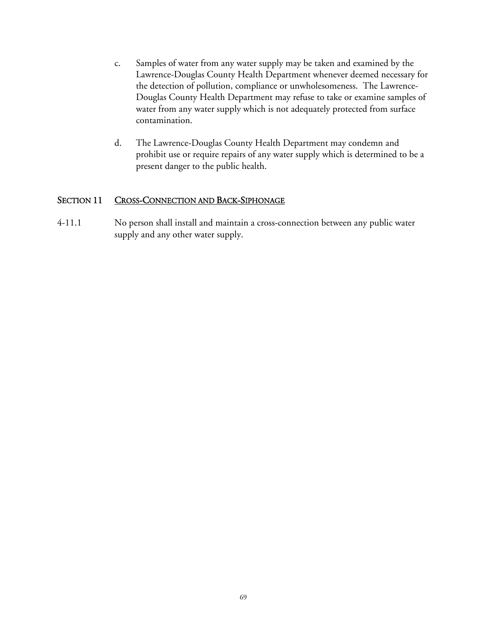- c. Samples of water from any water supply may be taken and examined by the Lawrence-Douglas County Health Department whenever deemed necessary for the detection of pollution, compliance or unwholesomeness. The Lawrence-Douglas County Health Department may refuse to take or examine samples of water from any water supply which is not adequately protected from surface contamination.
- d. The Lawrence-Douglas County Health Department may condemn and prohibit use or require repairs of any water supply which is determined to be a present danger to the public health.

## SECTION 11 CROSS-CONNECTION AND BACK-SIPHONAGE

4-11.1 No person shall install and maintain a cross-connection between any public water supply and any other water supply.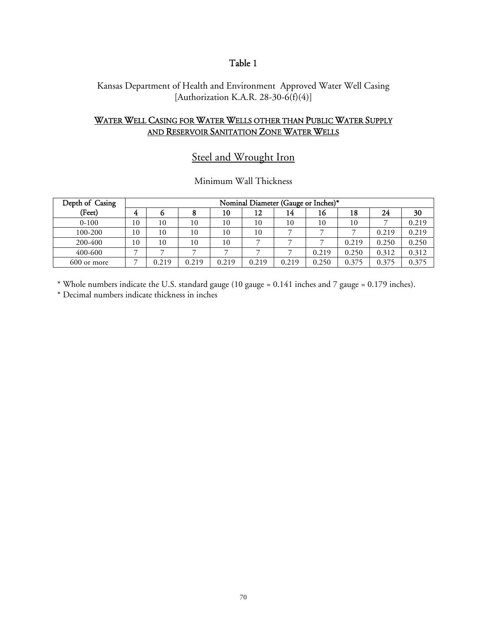# Table 1

## Kansas Department of Health and Environment Approved Water Well Casing [Authorization K.A.R. 28-30-6(f)(4)]

# WATER WELL CASING FOR WATER WELLS OTHER THAN PUBLIC WATER SUPPLY AND RESERVOIR SANITATION ZONE WATER WELLS

# Steel and Wrought Iron

#### Minimum Wall Thickness

| Depth of Casing | Nominal Diameter (Gauge or Inches)* |       |       |       |       |       |       |       |       |       |
|-----------------|-------------------------------------|-------|-------|-------|-------|-------|-------|-------|-------|-------|
| (Feet)          | 4                                   |       |       | 10    | 12    | 14    | 16    | 18    | 24    | 30    |
| $0 - 100$       | 10                                  | 10    | 10    | 10    | 10    | 10    | 10    | 10    |       | 0.219 |
| 100-200         | 10                                  | 10    | 10    | 10    | 10    |       |       |       | 0.219 | 0.219 |
| 200-400         | 10                                  | 10    | 10    | 10    |       |       |       | 0.219 | 0.250 | 0.250 |
| 400-600         | ⇁                                   |       |       |       |       |       | 0.219 | 0.250 | 0.312 | 0.312 |
| 600 or more     |                                     | 0.219 | 0.219 | 0.219 | 0.219 | 0.219 | 0.250 | 0.375 | 0.375 | 0.375 |

\* Whole numbers indicate the U.S. standard gauge (10 gauge = 0.141 inches and 7 gauge = 0.179 inches). \* Decimal numbers indicate thickness in inches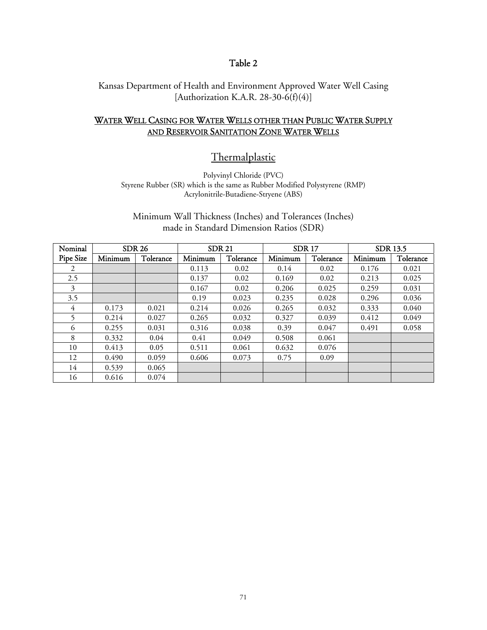## Table 2

Kansas Department of Health and Environment Approved Water Well Casing [Authorization K.A.R. 28-30-6(f)(4)]

# WATER WELL CASING FOR WATER WELLS OTHER THAN PUBLIC WATER SUPPLY AND RESERVOIR SANITATION ZONE WATER WELLS

# **Thermalplastic**

Polyvinyl Chloride (PVC) Styrene Rubber (SR) which is the same as Rubber Modified Polystyrene (RMP) Acrylonitrile-Butadiene-Stryene (ABS)

Minimum Wall Thickness (Inches) and Tolerances (Inches) made in Standard Dimension Ratios (SDR)

| Nominal   | <b>SDR 26</b> |           | <b>SDR 21</b> |           |         | <b>SDR17</b> | <b>SDR 13.5</b> |           |
|-----------|---------------|-----------|---------------|-----------|---------|--------------|-----------------|-----------|
| Pipe Size | Minimum       | Tolerance | Minimum       | Tolerance | Minimum | Tolerance    | Minimum         | Tolerance |
| 2         |               |           | 0.113         | 0.02      | 0.14    | 0.02         | 0.176           | 0.021     |
| 2.5       |               |           | 0.137         | 0.02      | 0.169   | 0.02         | 0.213           | 0.025     |
| 3         |               |           | 0.167         | 0.02      | 0.206   | 0.025        | 0.259           | 0.031     |
| 3.5       |               |           | 0.19          | 0.023     | 0.235   | 0.028        | 0.296           | 0.036     |
| 4         | 0.173         | 0.021     | 0.214         | 0.026     | 0.265   | 0.032        | 0.333           | 0.040     |
| 5.        | 0.214         | 0.027     | 0.265         | 0.032     | 0.327   | 0.039        | 0.412           | 0.049     |
| 6         | 0.255         | 0.031     | 0.316         | 0.038     | 0.39    | 0.047        | 0.491           | 0.058     |
| 8         | 0.332         | 0.04      | 0.41          | 0.049     | 0.508   | 0.061        |                 |           |
| 10        | 0.413         | 0.05      | 0.511         | 0.061     | 0.632   | 0.076        |                 |           |
| 12        | 0.490         | 0.059     | 0.606         | 0.073     | 0.75    | 0.09         |                 |           |
| 14        | 0.539         | 0.065     |               |           |         |              |                 |           |
| 16        | 0.616         | 0.074     |               |           |         |              |                 |           |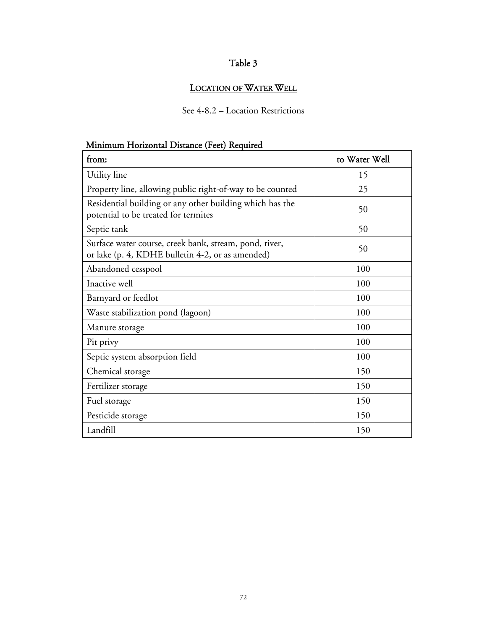# Table 3

# LOCATION OF WATER WELL

# See 4-8.2 – Location Restrictions

# Minimum Horizontal Distance (Feet) Required

| from:                                                                                                      | to Water Well |  |  |
|------------------------------------------------------------------------------------------------------------|---------------|--|--|
| Utility line                                                                                               | 15            |  |  |
| Property line, allowing public right-of-way to be counted                                                  | 25            |  |  |
| Residential building or any other building which has the<br>potential to be treated for termites           | 50            |  |  |
| Septic tank                                                                                                | 50            |  |  |
| Surface water course, creek bank, stream, pond, river,<br>or lake (p. 4, KDHE bulletin 4-2, or as amended) | 50            |  |  |
| Abandoned cesspool                                                                                         | 100           |  |  |
| Inactive well                                                                                              | 100           |  |  |
| Barnyard or feedlot                                                                                        | 100           |  |  |
| Waste stabilization pond (lagoon)                                                                          | 100           |  |  |
| Manure storage                                                                                             | 100           |  |  |
| Pit privy                                                                                                  | 100           |  |  |
| Septic system absorption field                                                                             | 100           |  |  |
| Chemical storage                                                                                           | 150           |  |  |
| Fertilizer storage                                                                                         | 150           |  |  |
| Fuel storage                                                                                               | 150           |  |  |
| Pesticide storage                                                                                          | 150           |  |  |
| Landfill                                                                                                   | 150           |  |  |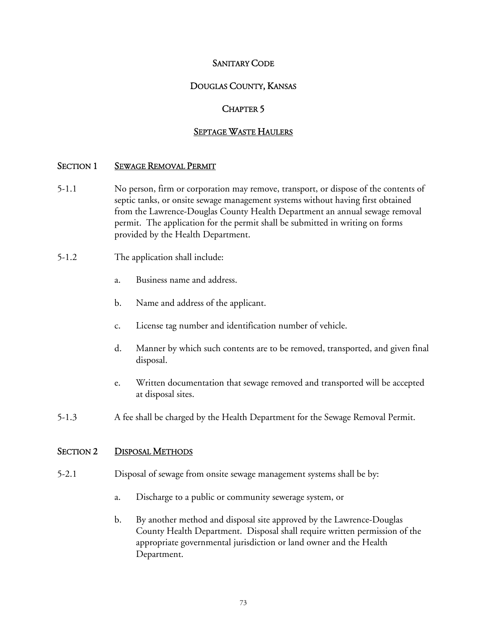## SANITARY CODE

## DOUGLAS COUNTY, KANSAS

## CHAPTER 5

## SEPTAGE WASTE HAULERS

#### SECTION 1 SEWAGE REMOVAL PERMIT

- 5-1.1 No person, firm or corporation may remove, transport, or dispose of the contents of septic tanks, or onsite sewage management systems without having first obtained from the Lawrence-Douglas County Health Department an annual sewage removal permit. The application for the permit shall be submitted in writing on forms provided by the Health Department.
- 5-1.2 The application shall include:
	- a. Business name and address.
	- b. Name and address of the applicant.
	- c. License tag number and identification number of vehicle.
	- d. Manner by which such contents are to be removed, transported, and given final disposal.
	- e. Written documentation that sewage removed and transported will be accepted at disposal sites.
- 5-1.3 A fee shall be charged by the Health Department for the Sewage Removal Permit.

#### SECTION 2 DISPOSAL METHODS

- 5-2.1 Disposal of sewage from onsite sewage management systems shall be by:
	- a. Discharge to a public or community sewerage system, or
	- b. By another method and disposal site approved by the Lawrence-Douglas County Health Department. Disposal shall require written permission of the appropriate governmental jurisdiction or land owner and the Health Department.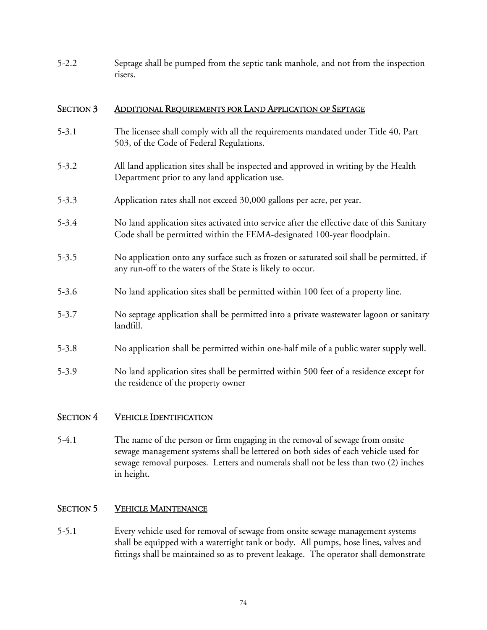5-2.2 Septage shall be pumped from the septic tank manhole, and not from the inspection risers.

## SECTION 3 ADDITIONAL REQUIREMENTS FOR LAND APPLICATION OF SEPTAGE

- 5-3.1 The licensee shall comply with all the requirements mandated under Title 40, Part 503, of the Code of Federal Regulations.
- 5-3.2 All land application sites shall be inspected and approved in writing by the Health Department prior to any land application use.
- 5-3.3 Application rates shall not exceed 30,000 gallons per acre, per year.
- 5-3.4 No land application sites activated into service after the effective date of this Sanitary Code shall be permitted within the FEMA-designated 100-year floodplain.
- 5-3.5 No application onto any surface such as frozen or saturated soil shall be permitted, if any run-off to the waters of the State is likely to occur.
- 5-3.6 No land application sites shall be permitted within 100 feet of a property line.
- 5-3.7 No septage application shall be permitted into a private wastewater lagoon or sanitary landfill.
- 5-3.8 No application shall be permitted within one-half mile of a public water supply well.
- 5-3.9 No land application sites shall be permitted within 500 feet of a residence except for the residence of the property owner

#### SECTION 4 VEHICLE IDENTIFICATION

5-4.1 The name of the person or firm engaging in the removal of sewage from onsite sewage management systems shall be lettered on both sides of each vehicle used for sewage removal purposes. Letters and numerals shall not be less than two (2) inches in height.

## SECTION 5 VEHICLE MAINTENANCE

5-5.1 Every vehicle used for removal of sewage from onsite sewage management systems shall be equipped with a watertight tank or body. All pumps, hose lines, valves and fittings shall be maintained so as to prevent leakage. The operator shall demonstrate